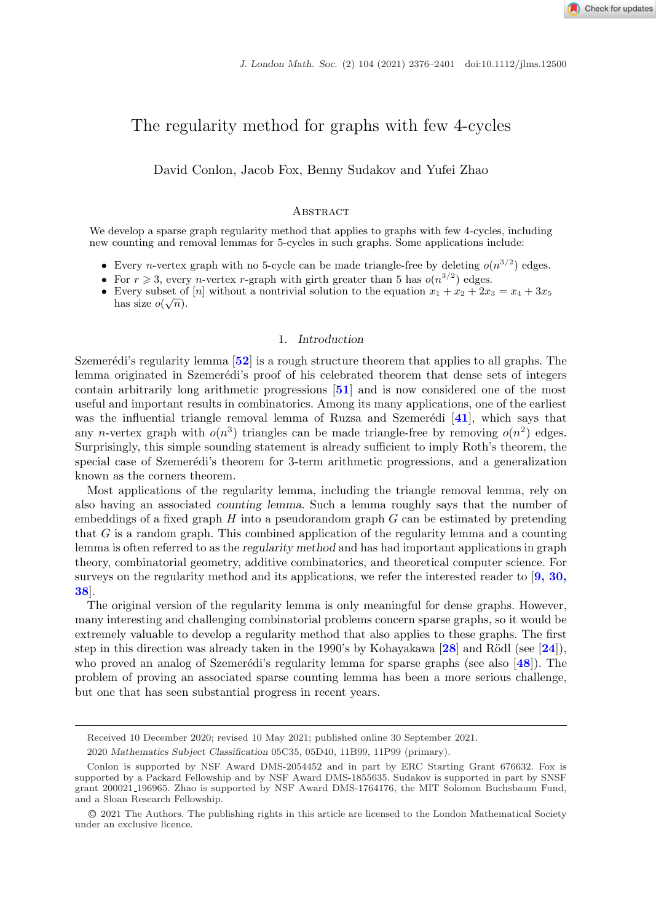Check for updates

# The regularity method for graphs with few 4-cycles

David Conlon, Jacob Fox, Benny Sudakov and Yufei Zhao

## **ABSTRACT**

We develop a sparse graph regularity method that applies to graphs with few 4-cycles, including new counting and removal lemmas for 5-cycles in such graphs. Some applications include:

- Every *n*-vertex graph with no 5-cycle can be made triangle-free by deleting  $o(n^{3/2})$  edges.
- For  $r \ge 3$ , every *n*-vertex *r*-graph with girth greater than 5 has  $o(n^{3/2})$  edges.
- Every subset of [n] without a nontrivial solution to the equation  $x_1 + x_2 + 2x_3 = x_4 + 3x_5$ has size  $o(\sqrt{n})$ .

# 1. *Introduction*

Szemerédi's regularity lemma [[52](#page-25-0)] is a rough structure theorem that applies to all graphs. The lemma originated in Szemerédi's proof of his celebrated theorem that dense sets of integers contain arbitrarily long arithmetic progressions [**[51](#page-25-0)**] and is now considered one of the most useful and important results in combinatorics. Among its many applications, one of the earliest was the influential triangle removal lemma of Ruzsa and Szemerédi [[41](#page-24-0)], which says that any n-vertex graph with  $o(n^3)$  triangles can be made triangle-free by removing  $o(n^2)$  edges. Surprisingly, this simple sounding statement is already sufficient to imply Roth's theorem, the special case of Szemerédi's theorem for 3-term arithmetic progressions, and a generalization known as the corners theorem.

Most applications of the regularity lemma, including the triangle removal lemma, rely on also having an associated *counting lemma*. Such a lemma roughly says that the number of embeddings of a fixed graph  $H$  into a pseudorandom graph  $G$  can be estimated by pretending that G is a random graph. This combined application of the regularity lemma and a counting lemma is often referred to as the *regularity method* and has had important applications in graph theory, combinatorial geometry, additive combinatorics, and theoretical computer science. For surveys on the regularity method and its applications, we refer the interested reader to [**[9, 30,](#page-23-0) [38](#page-23-0)**].

The original version of the regularity lemma is only meaningful for dense graphs. However, many interesting and challenging combinatorial problems concern sparse graphs, so it would be extremely valuable to develop a regularity method that also applies to these graphs. The first step in this direction was already taken in the 1990's by Kohayakawa  $[28]$  $[28]$  $[28]$  and Rödl (see  $[24]$  $[24]$  $[24]$ ), who proved an analog of Szemerédi's regularity lemma for sparse graphs (see also [[48](#page-24-0)]). The problem of proving an associated sparse counting lemma has been a more serious challenge, but one that has seen substantial progress in recent years.

Received 10 December 2020; revised 10 May 2021; published online 30 September 2021.

<sup>2020</sup> *Mathematics Subject Classification* 05C35, 05D40, 11B99, 11P99 (primary).

Conlon is supported by NSF Award DMS-2054452 and in part by ERC Starting Grant 676632. Fox is supported by a Packard Fellowship and by NSF Award DMS-1855635. Sudakov is supported in part by SNSF grant 200021 196965. Zhao is supported by NSF Award DMS-1764176, the MIT Solomon Buchsbaum Fund, and a Sloan Research Fellowship.

<sup>C</sup>❡2021 The Authors. The publishing rights in this article are licensed to the London Mathematical Society under an exclusive licence.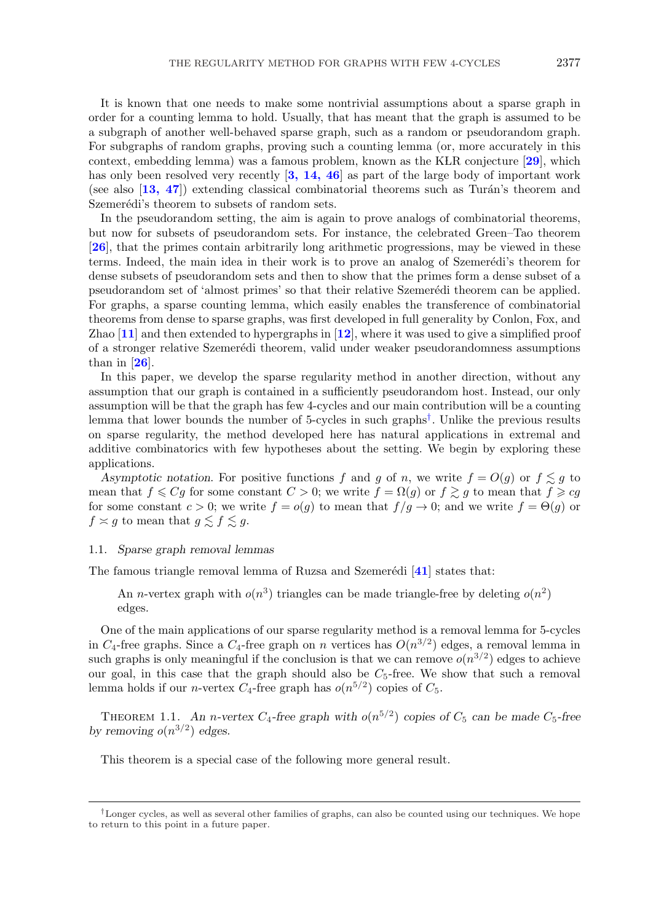It is known that one needs to make some nontrivial assumptions about a sparse graph in order for a counting lemma to hold. Usually, that has meant that the graph is assumed to be a subgraph of another well-behaved sparse graph, such as a random or pseudorandom graph. For subgraphs of random graphs, proving such a counting lemma (or, more accurately in this context, embedding lemma) was a famous problem, known as the KLR conjecture [**[29](#page-24-0)**], which has only been resolved very recently [**[3, 14, 46](#page-23-0)**] as part of the large body of important work (see also  $\left[13, 47\right]$  $\left[13, 47\right]$  $\left[13, 47\right]$ ) extending classical combinatorial theorems such as Turán's theorem and Szemerédi's theorem to subsets of random sets.

In the pseudorandom setting, the aim is again to prove analogs of combinatorial theorems, but now for subsets of pseudorandom sets. For instance, the celebrated Green–Tao theorem [**[26](#page-24-0)**], that the primes contain arbitrarily long arithmetic progressions, may be viewed in these terms. Indeed, the main idea in their work is to prove an analog of Szemerédi's theorem for dense subsets of pseudorandom sets and then to show that the primes form a dense subset of a pseudorandom set of 'almost primes' so that their relative Szemerédi theorem can be applied. For graphs, a sparse counting lemma, which easily enables the transference of combinatorial theorems from dense to sparse graphs, was first developed in full generality by Conlon, Fox, and Zhao [**[11](#page-23-0)**] and then extended to hypergraphs in [**[12](#page-23-0)**], where it was used to give a simplified proof of a stronger relative Szemer´edi theorem, valid under weaker pseudorandomness assumptions than in [**[26](#page-24-0)**].

In this paper, we develop the sparse regularity method in another direction, without any assumption that our graph is contained in a sufficiently pseudorandom host. Instead, our only assumption will be that the graph has few 4-cycles and our main contribution will be a counting lemma that lower bounds the number of 5-cycles in such graphs†. Unlike the previous results on sparse regularity, the method developed here has natural applications in extremal and additive combinatorics with few hypotheses about the setting. We begin by exploring these applications.

*Asymptotic notation.* For positive functions f and g of n, we write  $f = O(g)$  or  $f \leq g$  to mean that  $f \leqslant Cg$  for some constant  $C > 0$ ; we write  $f = \Omega(g)$  or  $f \gtrsim g$  to mean that  $f \geqslant cg$ for some constant  $c > 0$ ; we write  $f = o(g)$  to mean that  $f/g \to 0$ ; and we write  $f = \Theta(g)$  or  $f \asymp g$  to mean that  $g \lesssim f \lesssim g$ .

#### 1.1. *Sparse graph removal lemmas*

The famous triangle removal lemma of Ruzsa and Szemerédi [[41](#page-24-0)] states that:

An *n*-vertex graph with  $o(n^3)$  triangles can be made triangle-free by deleting  $o(n^2)$ edges*.*

One of the main applications of our sparse regularity method is a removal lemma for 5-cycles in  $C_4$ -free graphs. Since a  $C_4$ -free graph on n vertices has  $O(n^{3/2})$  edges, a removal lemma in such graphs is only meaningful if the conclusion is that we can remove  $o(n^{3/2})$  edges to achieve our goal, in this case that the graph should also be  $C_5$ -free. We show that such a removal lemma holds if our *n*-vertex  $C_4$ -free graph has  $o(n^{5/2})$  copies of  $C_5$ .

THEOREM 1.1. An *n*-vertex  $C_4$ -free graph with  $o(n^{5/2})$  copies of  $C_5$  can be made  $C_5$ -free *by removing*  $o(n^{3/2})$  *edges.* 

This theorem is a special case of the following more general result.

<sup>†</sup>Longer cycles, as well as several other families of graphs, can also be counted using our techniques. We hope to return to this point in a future paper.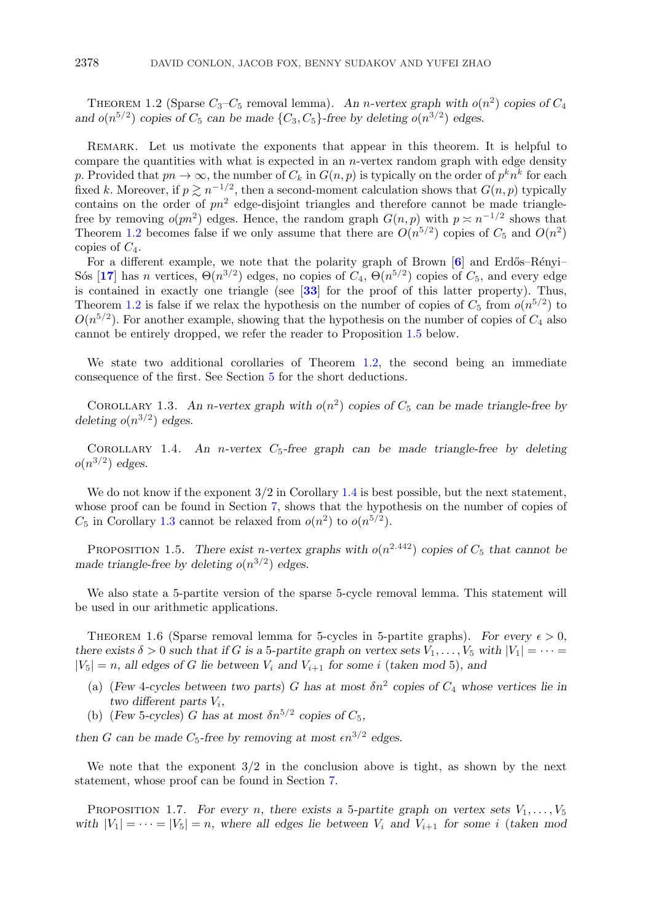<span id="page-2-0"></span>THEOREM 1.2 (Sparse  $C_3 - C_5$  removal lemma). An *n*-vertex graph with  $o(n^2)$  copies of  $C_4$ and  $o(n^{5/2})$  *copies of*  $C_5$  *can be made*  $\{C_3, C_5\}$ -free by deleting  $o(n^{3/2})$  edges.

REMARK. Let us motivate the exponents that appear in this theorem. It is helpful to compare the quantities with what is expected in an  $n$ -vertex random graph with edge density p. Provided that  $pn \to \infty$ , the number of  $C_k$  in  $G(n, p)$  is typically on the order of  $p^k n^k$  for each fixed k. Moreover, if  $p \geq n^{-1/2}$ , then a second-moment calculation shows that  $G(n, p)$  typically contains on the order of  $pn^2$  edge-disjoint triangles and therefore cannot be made trianglefree by removing  $o(pn^2)$  edges. Hence, the random graph  $G(n, p)$  with  $p \asymp n^{-1/2}$  shows that Theorem 1.2 becomes false if we only assume that there are  $O(n^{5/2})$  copies of  $C_5$  and  $O(n^2)$ copies of  $C_4$ .

For a different example, we note that the polarity graph of Brown [[6](#page-23-0)] and Erdős–Rényi– Sós [**[17](#page-24-0)**] has n vertices,  $\Theta(n^{3/2})$  edges, no copies of  $C_4$ ,  $\Theta(n^{5/2})$  copies of  $C_5$ , and every edge is contained in exactly one triangle (see [**[33](#page-24-0)**] for the proof of this latter property). Thus, Theorem 1.2 is false if we relax the hypothesis on the number of copies of  $C_5$  from  $o(n^{5/2})$  to  $O(n^{5/2})$ . For another example, showing that the hypothesis on the number of copies of  $C_4$  also cannot be entirely dropped, we refer the reader to Proposition 1.5 below.

We state two additional corollaries of Theorem 1.2, the second being an immediate consequence of the first. See Section [5](#page-15-0) for the short deductions.

COROLLARY 1.3. An *n*-vertex graph with  $o(n^2)$  copies of  $C_5$  can be made triangle-free by *deleting*  $o(n^{3/2})$  *edges.* 

COROLLARY 1.4. An *n*-vertex  $C_5$ -free graph can be made triangle-free by deleting  $o(n^{3/2})$  *edges.* 

We do not know if the exponent  $3/2$  in Corollary 1.4 is best possible, but the next statement, whose proof can be found in Section [7,](#page-17-0) shows that the hypothesis on the number of copies of  $C_5$  in Corollary 1.3 cannot be relaxed from  $o(n^2)$  to  $o(n^{5/2})$ .

PROPOSITION 1.5. *There exist n-vertex graphs with*  $o(n^{2.442})$  *copies of*  $C_5$  *that cannot be made triangle-free by deleting*  $o(n^{3/2})$  *edges.* 

We also state a 5-partite version of the sparse 5-cycle removal lemma. This statement will be used in our arithmetic applications.

THEOREM 1.6 (Sparse removal lemma for 5-cycles in 5-partite graphs). For every  $\epsilon > 0$ , *there exists*  $\delta > 0$  *such that if* G *is a* 5*-partite graph on vertex sets*  $V_1, \ldots, V_5$  *with*  $|V_1| = \cdots$  $|V_5| = n$ , all edges of G lie between  $V_i$  and  $V_{i+1}$  for some i (taken mod 5), and

- (a) (*Few* 4-cycles between two parts) G has at most  $\delta n^2$  copies of  $C_4$  whose vertices lie in  $two$  different parts  $V_i$ ,
- (b) (*Few* 5-cycles) G has at most  $\delta n^{5/2}$  copies of  $C_5$ ,

then *G* can be made  $C_5$ -free by removing at most  $\epsilon n^{3/2}$  edges.

We note that the exponent  $3/2$  in the conclusion above is tight, as shown by the next statement, whose proof can be found in Section [7.](#page-17-0)

PROPOSITION 1.7. For every *n*, there exists a 5-partite graph on vertex sets  $V_1, \ldots, V_5$ *with*  $|V_1| = \cdots = |V_5| = n$ , where all edges lie between  $V_i$  and  $V_{i+1}$  for some i (*taken mod*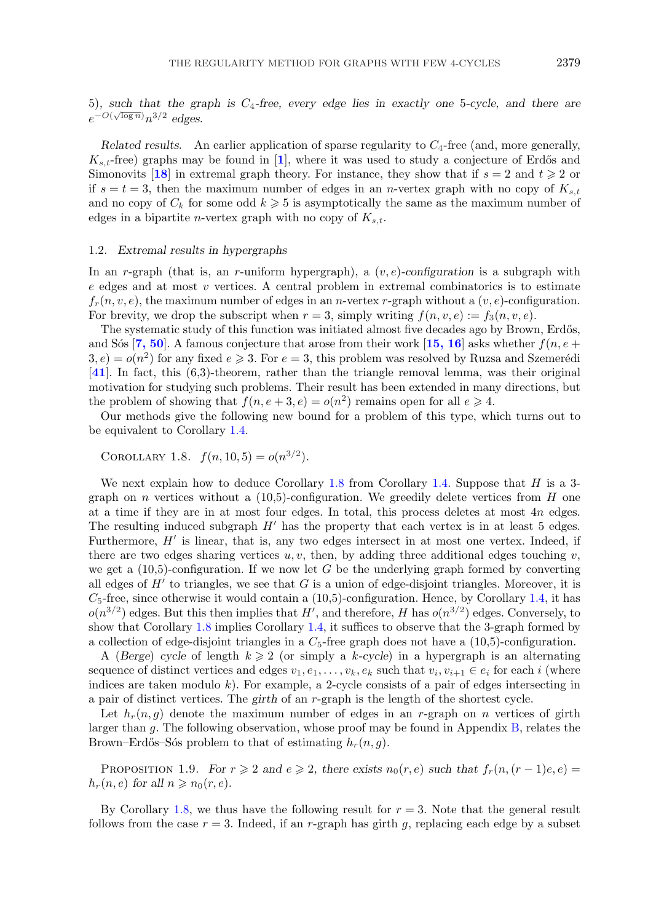<span id="page-3-0"></span>5)*, such that the graph is* C4*-free, every edge lies in exactly one* 5*-cycle, and there are*  $e^{-O(\sqrt{\log n})}n^{3/2}$  edges.

*Related results.* An earlier application of sparse regularity to  $C_4$ -free (and, more generally,  $K_{s,t}$ -free) graphs may be found in [[1](#page-23-0)], where it was used to study a conjecture of Erdős and Simonovits [[18](#page-24-0)] in extremal graph theory. For instance, they show that if  $s = 2$  and  $t \geq 2$  or if  $s = t = 3$ , then the maximum number of edges in an *n*-vertex graph with no copy of  $K_{s,t}$ and no copy of  $C_k$  for some odd  $k \geqslant 5$  is asymptotically the same as the maximum number of edges in a bipartite *n*-vertex graph with no copy of  $K_{s,t}$ .

#### 1.2. *Extremal results in hypergraphs*

In an r-graph (that is, an r-uniform hypergraph), a (v, e)*-configuration* is a subgraph with e edges and at most v vertices. A central problem in extremal combinatorics is to estimate  $f_r(n, v, e)$ , the maximum number of edges in an *n*-vertex r-graph without a  $(v, e)$ -configuration. For brevity, we drop the subscript when  $r = 3$ , simply writing  $f(n, v, e) := f_3(n, v, e)$ .

The systematic study of this function was initiated almost five decades ago by Brown, Erdős, and S<sub>os</sub>  $\left[7, 50\right]$  $\left[7, 50\right]$  $\left[7, 50\right]$ . A famous conjecture that arose from their work  $\left[15, 16\right]$  $\left[15, 16\right]$  $\left[15, 16\right]$  asks whether  $f(n, e +$  $3, e) = o(n^2)$  for any fixed  $e \ge 3$ . For  $e = 3$ , this problem was resolved by Ruzsa and Szemerédi [**[41](#page-24-0)**]. In fact, this (6,3)-theorem, rather than the triangle removal lemma, was their original motivation for studying such problems. Their result has been extended in many directions, but the problem of showing that  $f(n, e+3, e) = o(n^2)$  remains open for all  $e \ge 4$ .

Our methods give the following new bound for a problem of this type, which turns out to be equivalent to Corollary [1.4.](#page-2-0)

COROLLARY 1.8.  $f(n, 10, 5) = o(n^{3/2}).$ 

We next explain how to deduce Corollary 1.8 from Corollary [1.4.](#page-2-0) Suppose that  $H$  is a 3graph on n vertices without a  $(10.5)$ -configuration. We greedily delete vertices from H one at a time if they are in at most four edges. In total, this process deletes at most 4n edges. The resulting induced subgraph  $H'$  has the property that each vertex is in at least 5 edges. Furthermore,  $H'$  is linear, that is, any two edges intersect in at most one vertex. Indeed, if there are two edges sharing vertices  $u, v$ , then, by adding three additional edges touching v, we get a  $(10.5)$ -configuration. If we now let G be the underlying graph formed by converting all edges of  $H'$  to triangles, we see that G is a union of edge-disjoint triangles. Moreover, it is  $C_5$ -free, since otherwise it would contain a (10,5)-configuration. Hence, by Corollary [1.4,](#page-2-0) it has  $o(n^{3/2})$  edges. But this then implies that H', and therefore, H has  $o(n^{3/2})$  edges. Conversely, to show that Corollary 1.8 implies Corollary [1.4,](#page-2-0) it suffices to observe that the 3-graph formed by a collection of edge-disjoint triangles in a  $C_5$ -free graph does not have a  $(10,5)$ -configuration.

A (*Berge*) *cycle* of length  $k \geq 2$  (or simply a k-*cycle*) in a hypergraph is an alternating sequence of distinct vertices and edges  $v_1, e_1, \ldots, v_k, e_k$  such that  $v_i, v_{i+1} \in e_i$  for each i (where indices are taken modulo  $k$ ). For example, a 2-cycle consists of a pair of edges intersecting in a pair of distinct vertices. The *girth* of an r-graph is the length of the shortest cycle.

Let  $h_r(n, g)$  denote the maximum number of edges in an r-graph on n vertices of girth larger than g. The following observation, whose proof may be found in Appendix [B,](#page-20-0) relates the Brown–Erdős–Sós problem to that of estimating  $h_r(n, q)$ .

PROPOSITION 1.9. *For*  $r \ge 2$  *and*  $e \ge 2$ *, there exists*  $n_0(r, e)$  *such that*  $f_r(n, (r - 1)e, e) =$  $h_r(n, e)$  for all  $n \geqslant n_0(r, e)$ .

By Corollary 1.8, we thus have the following result for  $r = 3$ . Note that the general result follows from the case  $r = 3$ . Indeed, if an r-graph has girth g, replacing each edge by a subset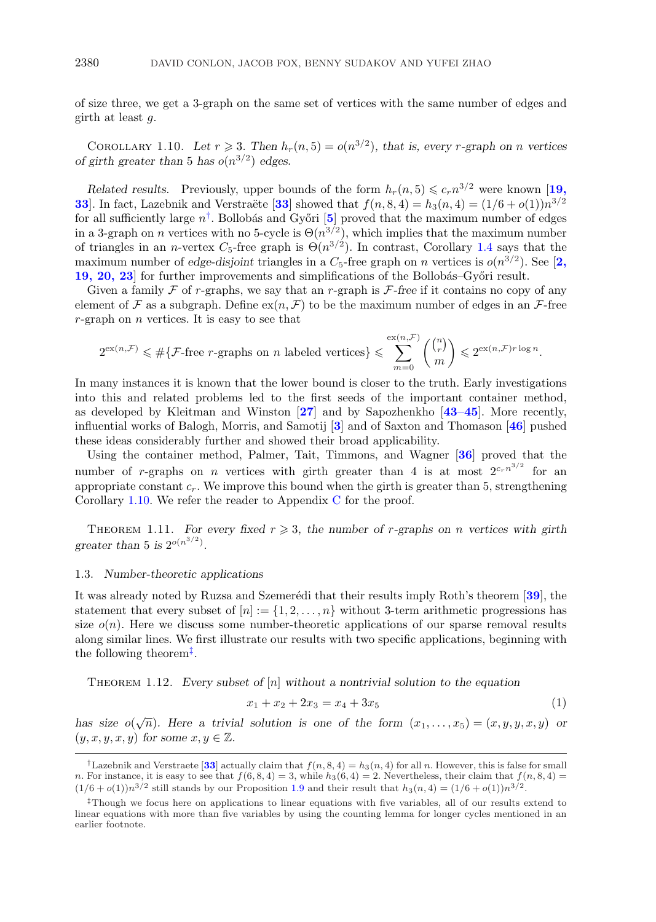<span id="page-4-0"></span>of size three, we get a 3-graph on the same set of vertices with the same number of edges and girth at least  $q$ .

COROLLARY 1.10. Let  $r \ge 3$ . Then  $h_r(n, 5) = o(n^{3/2})$ , that is, every *r*-graph on *n* vertices *of girth greater than* 5 *has*  $o(n^{3/2})$  *edges.* 

*Related results.* Previously, upper bounds of the form  $h_r(n, 5) \leq c_r n^{3/2}$  were known [[19,](#page-24-0) **[33](#page-24-0)**. In fact, Lazebnik and Verstraëte [33] showed that  $f(n, 8, 4) = h_3(n, 4) = (1/6 + o(1))n^{3/2}$ for all sufficiently large  $n^{\dagger}$ . Bollobás and Győri [[5](#page-23-0)] proved that the maximum number of edges in a 3-graph on n vertices with no 5-cycle is  $\Theta(n^{3/2})$ , which implies that the maximum number of triangles in an *n*-vertex  $C_5$ -free graph is  $\Theta(n^{3/2})$ . In contrast, Corollary [1.4](#page-2-0) says that the maximum number of *edge-disjoint* triangles in a  $C_5$ -free graph on n vertices is  $o(n^{3/2})$ . See [[2,](#page-23-0) **[19, 20, 23](#page-23-0)**] for further improvements and simplifications of the Bollobás–Győri result.

Given a family  $\mathcal F$  of r-graphs, we say that an r-graph is  $\mathcal F$ -free if it contains no copy of any element of F as a subgraph. Define  $ex(n, \mathcal{F})$  to be the maximum number of edges in an F-free  $r$ -graph on  $n$  vertices. It is easy to see that

$$
2^{\text{ex}(n,\mathcal{F})} \leqslant \#\{\mathcal{F}\text{-free $r$-graphs on $n$ labeled vertices}\}\leqslant \sum_{m=0}^{\text{ex}(n,\mathcal{F})} \binom{\binom{n}{r}}{m} \leqslant 2^{\text{ex}(n,\mathcal{F})r\log n}.
$$

In many instances it is known that the lower bound is closer to the truth. Early investigations into this and related problems led to the first seeds of the important container method, as developed by Kleitman and Winston [**[27](#page-24-0)**] and by Sapozhenkho [**[43–45](#page-24-0)**]. More recently, influential works of Balogh, Morris, and Samotij [**[3](#page-23-0)**] and of Saxton and Thomason [**[46](#page-24-0)**] pushed these ideas considerably further and showed their broad applicability.

Using the container method, Palmer, Tait, Timmons, and Wagner [**[36](#page-24-0)**] proved that the number of r-graphs on *n* vertices with girth greater than 4 is at most  $2^{c_r n^{3/2}}$  for an appropriate constant  $c_r$ . We improve this bound when the girth is greater than 5, strengthening Corollary 1.10. We refer the reader to Appendix C for the proof.

THEOREM 1.11. For every fixed  $r \geq 3$ , the number of *r*-graphs on *n* vertices with girth *greater than* 5 *is*  $2^{o(n^{3/2})}$ .

#### 1.3. *Number-theoretic applications*

It was already noted by Ruzsa and Szemerédi that their results imply Roth's theorem [[39](#page-24-0)], the statement that every subset of  $[n] := \{1, 2, \ldots, n\}$  without 3-term arithmetic progressions has size  $o(n)$ . Here we discuss some number-theoretic applications of our sparse removal results along similar lines. We first illustrate our results with two specific applications, beginning with the following theorem‡.

Theorem 1.12. *Every subset of* [n] *without a nontrivial solution to the equation*

$$
x_1 + x_2 + 2x_3 = x_4 + 3x_5 \tag{1}
$$

*has size*  $o(\sqrt{n})$ *. Here a trivial solution is one of the form*  $(x_1,...,x_5) = (x, y, y, x, y)$  *or*  $(y, x, y, x, y)$  *for some*  $x, y \in \mathbb{Z}$ *.* 

<sup>&</sup>lt;sup>†</sup>Lazebnik and Verstraete [[33](#page-24-0)] actually claim that  $f(n, 8, 4) = h_3(n, 4)$  for all n. However, this is false for small n. For instance, it is easy to see that  $f(6, 8, 4) = 3$ , while  $h_3(6, 4) = 2$ . Nevertheless, their claim that  $f(n, 8, 4) =$  $(1/6 + o(1))n^{3/2}$  still stands by our Proposition [1.9](#page-3-0) and their result that  $h_3(n, 4) = (1/6 + o(1))n^{3/2}$ .

<sup>‡</sup>Though we focus here on applications to linear equations with five variables, all of our results extend to linear equations with more than five variables by using the counting lemma for longer cycles mentioned in an earlier footnote.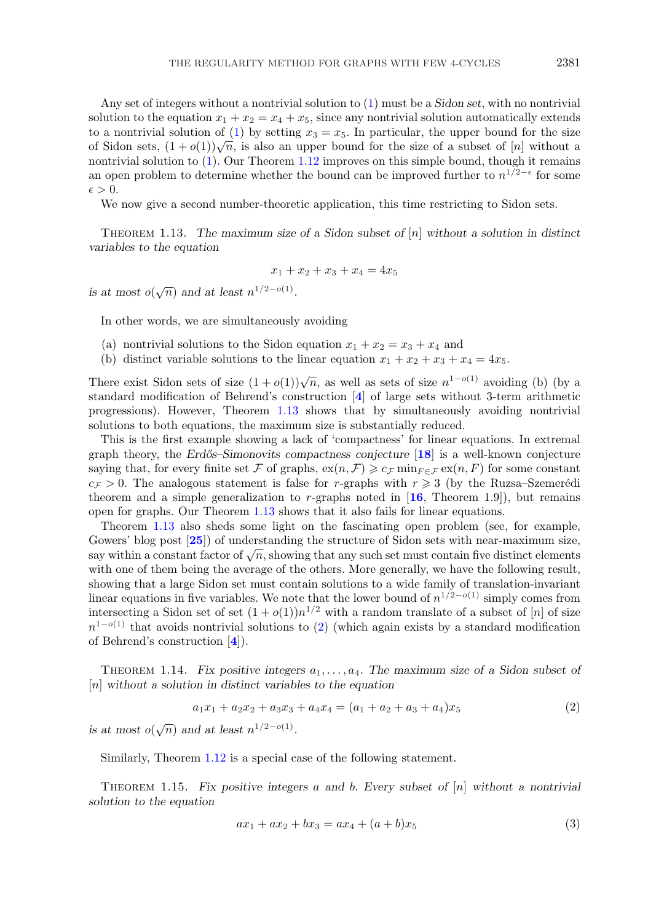<span id="page-5-0"></span>Any set of integers without a nontrivial solution to [\(1\)](#page-4-0) must be a *Sidon set*, with no nontrivial solution to the equation  $x_1 + x_2 = x_4 + x_5$ , since any nontrivial solution automatically extends to a nontrivial solution of [\(1\)](#page-4-0) by setting  $x_3 = x_5$ . In particular, the upper bound for the size of Sidon sets,  $(1+o(1))\sqrt{n}$ , is also an upper bound for the size of a subset of [n] without a nontrivial solution to [\(1\)](#page-4-0). Our Theorem [1.12](#page-4-0) improves on this simple bound, though it remains an open problem to determine whether the bound can be improved further to  $n^{1/2-\epsilon}$  for some  $\epsilon > 0.$ 

We now give a second number-theoretic application, this time restricting to Sidon sets.

Theorem 1.13. *The maximum size of a Sidon subset of* [n] *without a solution in distinct variables to the equation*

$$
x_1 + x_2 + x_3 + x_4 = 4x_5
$$

*is at most*  $o(\sqrt{n})$  *and at least*  $n^{1/2-o(1)}$ *.* 

In other words, we are simultaneously avoiding

- (a) nontrivial solutions to the Sidon equation  $x_1 + x_2 = x_3 + x_4$  and
- (b) distinct variable solutions to the linear equation  $x_1 + x_2 + x_3 + x_4 = 4x_5$ .

There exist Sidon sets of size  $(1 + o(1))\sqrt{n}$ , as well as sets of size  $n^{1-o(1)}$  avoiding (b) (by a standard modification of Behrend's construction [**[4](#page-23-0)**] of large sets without 3-term arithmetic progressions). However, Theorem 1.13 shows that by simultaneously avoiding nontrivial solutions to both equations, the maximum size is substantially reduced.

This is the first example showing a lack of 'compactness' for linear equations. In extremal graph theory, the *Erd˝os–Simonovits compactness conjecture* [**[18](#page-24-0)**] is a well-known conjecture saying that, for every finite set F of graphs,  $ex(n, \mathcal{F}) \geq c_{\mathcal{F}} \min_{F \in \mathcal{F}} ex(n, F)$  for some constant  $c_{\mathcal{F}} > 0$ . The analogous statement is false for r-graphs with  $r \geq 3$  (by the Ruzsa-Szemerédi theorem and a simple generalization to  $r$ -graphs noted in  $[16,$  $[16,$  $[16,$  Theorem 1.9]), but remains open for graphs. Our Theorem 1.13 shows that it also fails for linear equations.

Theorem 1.13 also sheds some light on the fascinating open problem (see, for example, Gowers' blog post [**[25](#page-24-0)**]) of understanding the structure of Sidon sets with near-maximum size, say within a constant factor of  $\sqrt{n}$ , showing that any such set must contain five distinct elements with one of them being the average of the others. More generally, we have the following result, showing that a large Sidon set must contain solutions to a wide family of translation-invariant linear equations in five variables. We note that the lower bound of  $n^{1/2-o(1)}$  simply comes from intersecting a Sidon set of set  $(1+o(1))n^{1/2}$  with a random translate of a subset of [n] of size  $n^{1-o(1)}$  that avoids nontrivial solutions to (2) (which again exists by a standard modification of Behrend's construction [**[4](#page-23-0)**]).

THEOREM 1.14. Fix positive integers  $a_1, \ldots, a_4$ . The maximum size of a Sidon subset of [n] *without a solution in distinct variables to the equation*

$$
a_1x_1 + a_2x_2 + a_3x_3 + a_4x_4 = (a_1 + a_2 + a_3 + a_4)x_5 \tag{2}
$$

*is at most*  $o(\sqrt{n})$  *and at least*  $n^{1/2-o(1)}$ *.* 

Similarly, Theorem [1.12](#page-4-0) is a special case of the following statement.

Theorem 1.15. *Fix positive integers* a *and* b*. Every subset of* [n] *without a nontrivial solution to the equation*

$$
ax_1 + ax_2 + bx_3 = ax_4 + (a+b)x_5 \tag{3}
$$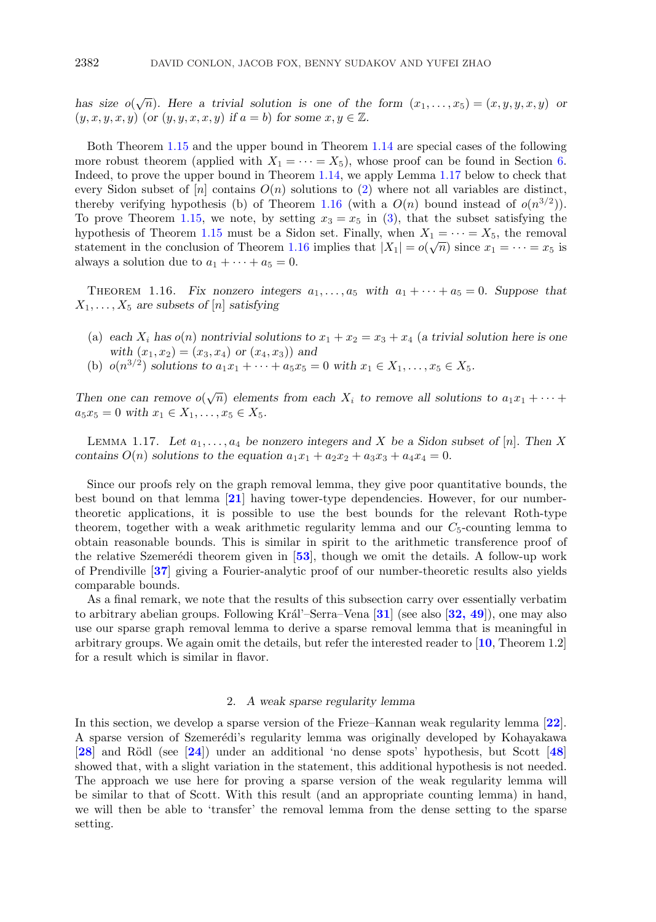<span id="page-6-0"></span>*has size*  $o(\sqrt{n})$ *. Here a trivial solution is one of the form*  $(x_1,...,x_5) = (x, y, y, x, y)$  *or*  $(y, x, y, x, y)$  (or  $(y, y, x, x, y)$  *if*  $a = b$ ) for some  $x, y \in \mathbb{Z}$ .

Both Theorem [1.15](#page-5-0) and the upper bound in Theorem [1.14](#page-5-0) are special cases of the following more robust theorem (applied with  $X_1 = \cdots = X_5$ ), whose proof can be found in Section [6.](#page-16-0) Indeed, to prove the upper bound in Theorem [1.14,](#page-5-0) we apply Lemma 1.17 below to check that every Sidon subset of  $[n]$  contains  $O(n)$  solutions to [\(2\)](#page-5-0) where not all variables are distinct, thereby verifying hypothesis (b) of Theorem 1.16 (with a  $O(n)$  bound instead of  $o(n^{3/2})$ ). To prove Theorem [1.15,](#page-5-0) we note, by setting  $x_3 = x_5$  in [\(3\)](#page-5-0), that the subset satisfying the hypothesis of Theorem [1.15](#page-5-0) must be a Sidon set. Finally, when  $X_1 = \cdots = X_5$ , the removal statement in the conclusion of Theorem 1.16 implies that  $|X_1| = o(\sqrt{n})$  since  $x_1 = \cdots = x_5$  is always a solution due to  $a_1 + \cdots + a_5 = 0$ .

THEOREM 1.16. Fix nonzero integers  $a_1, \ldots, a_5$  with  $a_1 + \cdots + a_5 = 0$ . Suppose that  $X_1, \ldots, X_5$  are subsets of [n] satisfying

- (a) each  $X_i$  has  $o(n)$  nontrivial solutions to  $x_1 + x_2 = x_3 + x_4$  (a trivial solution here is one *with*  $(x_1, x_2) = (x_3, x_4)$  *or*  $(x_4, x_3)$  *and*
- (b)  $o(n^{3/2})$  *solutions to*  $a_1x_1 + \cdots + a_5x_5 = 0$  *with*  $x_1 \in X_1, \ldots, x_5 \in X_5$ .

*Then one can remove*  $o(\sqrt{n})$  *elements from each*  $X_i$  *to remove all solutions to*  $a_1x_1 + \cdots$  $a_5x_5 = 0$  *with*  $x_1 \in X_1, \ldots, x_5 \in X_5$ .

LEMMA 1.17. Let  $a_1, \ldots, a_4$  be nonzero integers and X be a Sidon subset of  $[n]$ . Then X *contains*  $O(n)$  *solutions to the equation*  $a_1x_1 + a_2x_2 + a_3x_3 + a_4x_4 = 0$ *.* 

Since our proofs rely on the graph removal lemma, they give poor quantitative bounds, the best bound on that lemma [**[21](#page-24-0)**] having tower-type dependencies. However, for our numbertheoretic applications, it is possible to use the best bounds for the relevant Roth-type theorem, together with a weak arithmetic regularity lemma and our  $C_5$ -counting lemma to obtain reasonable bounds. This is similar in spirit to the arithmetic transference proof of the relative Szemerédi theorem given in  $[53]$  $[53]$  $[53]$ , though we omit the details. A follow-up work of Prendiville [**[37](#page-24-0)**] giving a Fourier-analytic proof of our number-theoretic results also yields comparable bounds.

As a final remark, we note that the results of this subsection carry over essentially verbatim to arbitrary abelian groups. Following Král'–Serra–Vena [**[31](#page-24-0)**] (see also [**[32, 49](#page-24-0)**]), one may also use our sparse graph removal lemma to derive a sparse removal lemma that is meaningful in arbitrary groups. We again omit the details, but refer the interested reader to [**[10](#page-23-0)**, Theorem 1.2] for a result which is similar in flavor.

## 2. *A weak sparse regularity lemma*

In this section, we develop a sparse version of the Frieze–Kannan weak regularity lemma [**[22](#page-24-0)**]. A sparse version of Szemerédi's regularity lemma was originally developed by Kohayakawa [**[28](#page-24-0)**] and R¨odl (see [**[24](#page-24-0)**]) under an additional 'no dense spots' hypothesis, but Scott [**[48](#page-24-0)**] showed that, with a slight variation in the statement, this additional hypothesis is not needed. The approach we use here for proving a sparse version of the weak regularity lemma will be similar to that of Scott. With this result (and an appropriate counting lemma) in hand, we will then be able to 'transfer' the removal lemma from the dense setting to the sparse setting.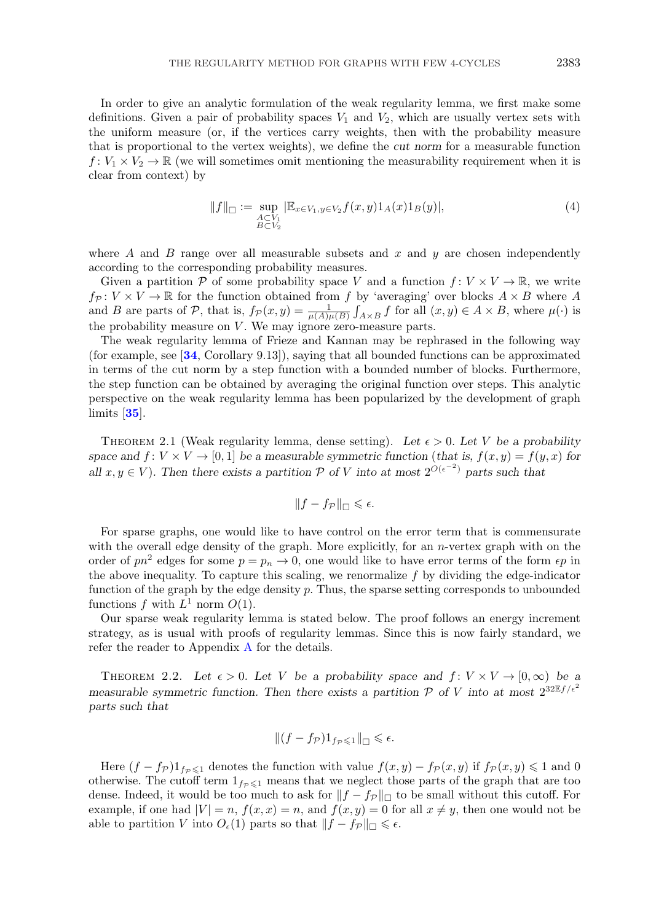<span id="page-7-0"></span>In order to give an analytic formulation of the weak regularity lemma, we first make some definitions. Given a pair of probability spaces  $V_1$  and  $V_2$ , which are usually vertex sets with the uniform measure (or, if the vertices carry weights, then with the probability measure that is proportional to the vertex weights), we define the *cut norm* for a measurable function  $f: V_1 \times V_2 \to \mathbb{R}$  (we will sometimes omit mentioning the measurability requirement when it is clear from context) by

$$
||f||_{\Box} := \sup_{\substack{A \subset V_1 \\ B \subset V_2}} |\mathbb{E}_{x \in V_1, y \in V_2} f(x, y) 1_A(x) 1_B(y)|, \tag{4}
$$

where A and B range over all measurable subsets and  $x$  and  $y$  are chosen independently according to the corresponding probability measures.

Given a partition P of some probability space V and a function  $f: V \times V \to \mathbb{R}$ , we write  $f_P: V \times V \to \mathbb{R}$  for the function obtained from f by 'averaging' over blocks  $A \times B$  where A and B are parts of P, that is,  $f_{\mathcal{P}}(x,y) = \frac{1}{\mu(A)\mu(B)} \int_{A\times B} f$  for all  $(x,y) \in A \times B$ , where  $\mu(\cdot)$  is the probability measure on  $V$ . We may ignore zero-measure parts.

The weak regularity lemma of Frieze and Kannan may be rephrased in the following way (for example, see [**[34](#page-24-0)**, Corollary 9.13]), saying that all bounded functions can be approximated in terms of the cut norm by a step function with a bounded number of blocks. Furthermore, the step function can be obtained by averaging the original function over steps. This analytic perspective on the weak regularity lemma has been popularized by the development of graph limits [**[35](#page-24-0)**].

THEOREM 2.1 (Weak regularity lemma, dense setting). Let  $\epsilon > 0$ . Let V be a probability space and  $f: V \times V \rightarrow [0, 1]$  be a measurable symmetric function (*that is,*  $f(x, y) = f(y, x)$  for *all*  $x, y \in V$ ). Then there exists a partition  $P$  of V into at most  $2^{O(\epsilon^{-2})}$  parts such that

$$
||f - f_{\mathcal{P}}||_{\square} \leqslant \epsilon.
$$

For sparse graphs, one would like to have control on the error term that is commensurate with the overall edge density of the graph. More explicitly, for an  $n$ -vertex graph with on the order of  $pn^2$  edges for some  $p = p_n \to 0$ , one would like to have error terms of the form  $\epsilon p$  in the above inequality. To capture this scaling, we renormalize f by dividing the edge-indicator function of the graph by the edge density  $p$ . Thus, the sparse setting corresponds to unbounded functions f with  $L^1$  norm  $O(1)$ .

Our sparse weak regularity lemma is stated below. The proof follows an energy increment strategy, as is usual with proofs of regularity lemmas. Since this is now fairly standard, we refer the reader to Appendix [A](#page-18-0) for the details.

THEOREM 2.2. Let  $\epsilon > 0$ . Let V be a probability space and  $f: V \times V \rightarrow [0, \infty)$  be a *measurable symmetric function. Then there exists a partition*  $P$  *of*  $V$  *into at most*  $2^{32\mathbb{E}f/\epsilon^2}$ *parts such that*

$$
\|(f - f_{\mathcal{P}})1_{f_{\mathcal{P}} \leq 1}\|_{\square} \leq \epsilon.
$$

Here  $(f - f_p)1_{f_p \leq 1}$  denotes the function with value  $f(x, y) - f_p(x, y)$  if  $f_p(x, y) \leq 1$  and 0 otherwise. The cutoff term  $1_{fp \leq 1}$  means that we neglect those parts of the graph that are too dense. Indeed, it would be too much to ask for  $||f - f_{\mathcal{P}}||_{\Box}$  to be small without this cutoff. For example, if one had  $|V| = n$ ,  $f(x, x) = n$ , and  $f(x, y) = 0$  for all  $x \neq y$ , then one would not be able to partition V into  $O_{\epsilon}(1)$  parts so that  $||f - f_{\mathcal{P}}||_{\square} \leq \epsilon$ .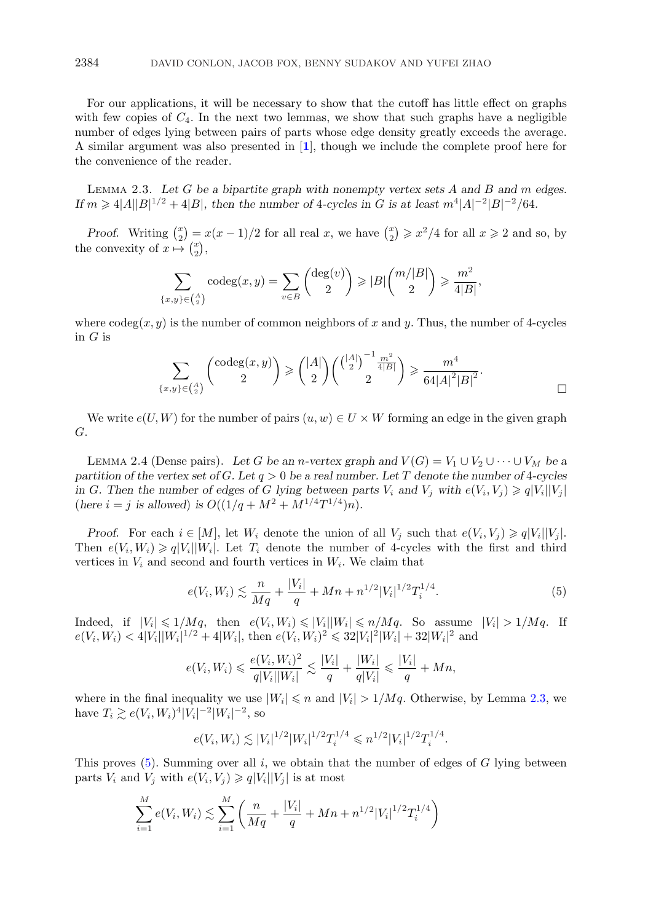<span id="page-8-0"></span>For our applications, it will be necessary to show that the cutoff has little effect on graphs with few copies of  $C_4$ . In the next two lemmas, we show that such graphs have a negligible number of edges lying between pairs of parts whose edge density greatly exceeds the average. A similar argument was also presented in [**[1](#page-23-0)**], though we include the complete proof here for the convenience of the reader.

Lemma 2.3. *Let* G *be a bipartite graph with nonempty vertex sets* A *and* B *and* m *edges. If*  $m \ge 4|A||B|^{1/2} + 4|B|$ , then the number of 4*-cycles* in *G* is at least  $m^4|A|^{-2}|B|^{-2}/64$ .

*Proof.* Writing  $\binom{x}{2} = x(x-1)/2$  for all real x, we have  $\binom{x}{2} \geq x^2/4$  for all  $x \geq 2$  and so, by the convexity of  $x \mapsto \begin{pmatrix} x \\ 2 \end{pmatrix}$ ,

$$
\sum_{x,y\} \operatorname{codeg}(x,y) = \sum_{v \in B} \binom{\deg(v)}{2} \geqslant |B| \binom{m/|B|}{2} \geqslant \frac{m^2}{4|B|},
$$

where  $\operatorname{codeg}(x, y)$  is the number of common neighbors of x and y. Thus, the number of 4-cycles in  $G$  is

$$
\sum_{\{x,y\}\in\binom{A}{2}}\binom{\operatorname{codeg}(x,y)}{2}\geqslant\binom{|A|}{2}\binom{\binom{|A|}{2}^{-1}\frac{m^2}{4|B|}}{2}\geqslant\frac{m^4}{64|A|^2|B|^2}.
$$

We write  $e(U, W)$  for the number of pairs  $(u, w) \in U \times W$  forming an edge in the given graph G.

LEMMA 2.4 (Dense pairs). Let G be an n-vertex graph and  $V(G) = V_1 \cup V_2 \cup \cdots \cup V_M$  be a *partition of the vertex set of* G*. Let* q > 0 *be a real number. Let* T *denote the number of* 4*-cycles in* G. Then the number of edges of G lying between parts  $V_i$  and  $V_j$  with  $e(V_i, V_j) \geqslant q|V_i||V_j|$ (here  $i = j$  is allowed) is  $O((1/q + M^2 + M^{1/4}T^{1/4})n)$ .

*Proof.* For each  $i \in [M]$ , let  $W_i$  denote the union of all  $V_j$  such that  $e(V_i, V_j) \geqslant q|V_i||V_j|$ . Then  $e(V_i, W_i) \geqslant q|V_i||W_i|$ . Let  $T_i$  denote the number of 4-cycles with the first and third vertices in  $V_i$  and second and fourth vertices in  $W_i$ . We claim that

$$
e(V_i, W_i) \lesssim \frac{n}{Mq} + \frac{|V_i|}{q} + Mn + n^{1/2}|V_i|^{1/2}T_i^{1/4}.
$$
 (5)

Indeed, if  $|V_i| \leq 1/Mq$ , then  $e(V_i, W_i) \leq |V_i||W_i| \leq n/Mq$ . So assume  $|V_i| > 1/Mq$ . If  $e(V_i, W_i) < 4|V_i||W_i|^{1/2} + 4|W_i|$ , then  $e(V_i, W_i)^2 \leq 32|V_i|^2|W_i| + 32|W_i|^2$  and

$$
e(V_i, W_i) \leq \frac{e(V_i, W_i)^2}{q|V_i||W_i|} \leq \frac{|V_i|}{q} + \frac{|W_i|}{q|V_i|} \leq \frac{|V_i|}{q} + Mn
$$

where in the final inequality we use  $|W_i| \le n$  and  $|V_i| > 1/Mq$ . Otherwise, by Lemma 2.3, we have  $T_i \gtrsim e(V_i, W_i)^4 |V_i|^{-2} |W_i|^{-2}$ , so

$$
e(V_i, W_i) \lesssim |V_i|^{1/2} |W_i|^{1/2} T_i^{1/4} \leq n^{1/2} |V_i|^{1/2} T_i^{1/4}.
$$

This proves  $(5)$ . Summing over all i, we obtain that the number of edges of G lying between parts  $V_i$  and  $V_j$  with  $e(V_i, V_j) \geqslant q|V_i||V_j|$  is at most

$$
\sum_{i=1}^{M} e(V_i, W_i) \lesssim \sum_{i=1}^{M} \left( \frac{n}{Mq} + \frac{|V_i|}{q} + Mn + n^{1/2} |V_i|^{1/2} T_i^{1/4} \right)
$$

 ${ }$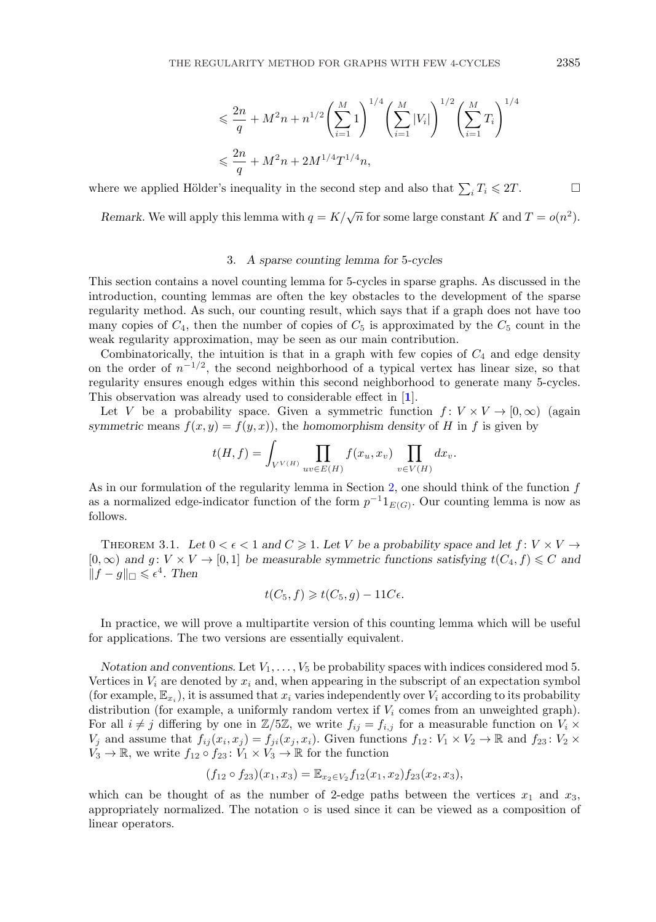$$
\leq \frac{2n}{q} + M^2 n + n^{1/2} \left(\sum_{i=1}^M 1\right)^{1/4} \left(\sum_{i=1}^M |V_i|\right)^{1/2} \left(\sum_{i=1}^M T_i\right)^{1/4}
$$
  

$$
\leq \frac{2n}{q} + M^2 n + 2M^{1/4} T^{1/4} n,
$$

where we applied Hölder's inequality in the second step and also that  $\sum_i T_i \leq 2T$ .

*Remark*. We will apply this lemma with  $q = K/\sqrt{n}$  for some large constant K and  $T = o(n^2)$ .

## 3. *A sparse counting lemma for* 5*-cycles*

This section contains a novel counting lemma for 5-cycles in sparse graphs. As discussed in the introduction, counting lemmas are often the key obstacles to the development of the sparse regularity method. As such, our counting result, which says that if a graph does not have too many copies of  $C_4$ , then the number of copies of  $C_5$  is approximated by the  $C_5$  count in the weak regularity approximation, may be seen as our main contribution.

Combinatorically, the intuition is that in a graph with few copies of  $C_4$  and edge density on the order of  $n^{-1/2}$ , the second neighborhood of a typical vertex has linear size, so that regularity ensures enough edges within this second neighborhood to generate many 5-cycles. This observation was already used to considerable effect in [**[1](#page-23-0)**].

Let V be a probability space. Given a symmetric function  $f: V \times V \to [0,\infty)$  (again *symmetric* means  $f(x, y) = f(y, x)$ , the *homomorphism density* of H in f is given by

$$
t(H, f) = \int_{V^{V(H)}} \prod_{uv \in E(H)} f(x_u, x_v) \prod_{v \in V(H)} dx_v.
$$

As in our formulation of the regularity lemma in Section [2,](#page-6-0) one should think of the function  $f$ as a normalized edge-indicator function of the form  $p^{-1}1_{E(G)}$ . Our counting lemma is now as follows.

THEOREM 3.1. Let  $0 < \epsilon < 1$  and  $C \geq 1$ . Let V be a probability space and let  $f: V \times V \rightarrow$  $[0,\infty)$  and  $g: V \times V \to [0,1]$  be measurable symmetric functions satisfying  $t(C_4, f) \leq C$  and  $||f - g||$ <sup> $\supset$ </sup> ≤  $\epsilon^4$ . Then

$$
t(C_5, f) \geq t(C_5, g) - 11C\epsilon.
$$

In practice, we will prove a multipartite version of this counting lemma which will be useful for applications. The two versions are essentially equivalent.

*Notation and conventions.* Let  $V_1, \ldots, V_5$  be probability spaces with indices considered mod 5. Vertices in  $V_i$  are denoted by  $x_i$  and, when appearing in the subscript of an expectation symbol (for example,  $\mathbb{E}_{x_i}$ ), it is assumed that  $x_i$  varies independently over  $V_i$  according to its probability distribution (for example, a uniformly random vertex if  $V_i$  comes from an unweighted graph). For all  $i \neq j$  differing by one in  $\mathbb{Z}/5\mathbb{Z}$ , we write  $f_{ij} = f_{i,j}$  for a measurable function on  $V_i \times$  $V_j$  and assume that  $f_{ij}(x_i, x_j) = f_{ji}(x_j, x_i)$ . Given functions  $f_{12} : V_1 \times V_2 \to \mathbb{R}$  and  $f_{23} : V_2 \times V_1 \to V_2$  $V_3 \to \mathbb{R}$ , we write  $f_{12} \circ f_{23} : V_1 \times V_3 \to \mathbb{R}$  for the function

$$
(f_{12} \circ f_{23})(x_1, x_3) = \mathbb{E}_{x_2 \in V_2} f_{12}(x_1, x_2) f_{23}(x_2, x_3),
$$

which can be thought of as the number of 2-edge paths between the vertices  $x_1$  and  $x_3$ , appropriately normalized. The notation  $\circ$  is used since it can be viewed as a composition of linear operators.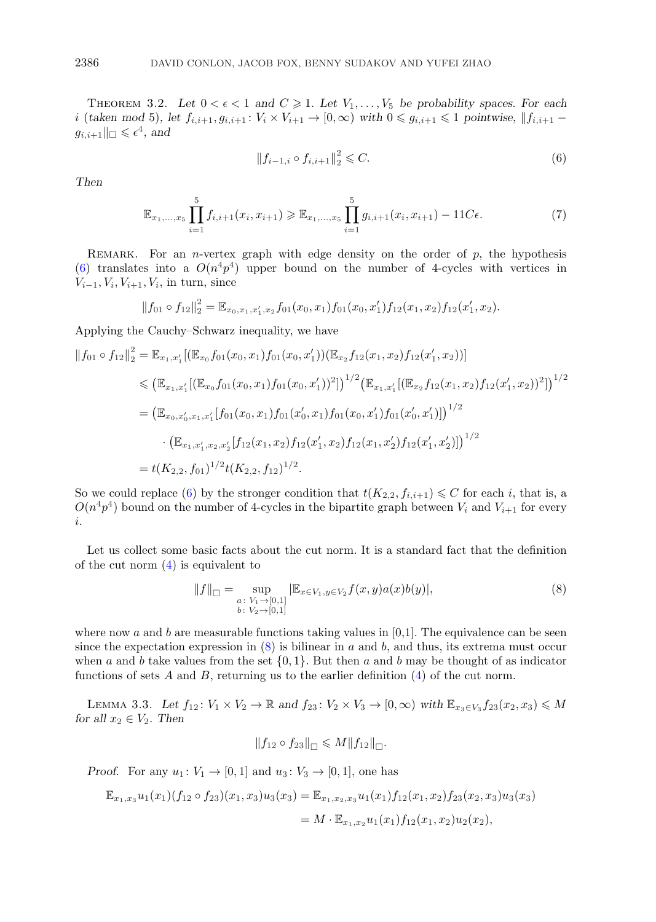<span id="page-10-0"></span>THEOREM 3.2. Let  $0 < \epsilon < 1$  and  $C \geq 1$ . Let  $V_1, \ldots, V_5$  be probability spaces. For each i (*taken mod* 5)*, let*  $f_{i,i+1}, g_{i,i+1} : V_i \times V_{i+1} \to [0, \infty)$  with  $0 \leq g_{i,i+1} \leq 1$  pointwise,  $||f_{i,i+1} - f||$  $g_{i,i+1} \|_{\square} \leqslant \epsilon^4$ , and

$$
||f_{i-1,i} \circ f_{i,i+1}||_2^2 \leq C. \tag{6}
$$

*Then*

$$
\mathbb{E}_{x_1,\ldots,x_5} \prod_{i=1}^5 f_{i,i+1}(x_i,x_{i+1}) \ge \mathbb{E}_{x_1,\ldots,x_5} \prod_{i=1}^5 g_{i,i+1}(x_i,x_{i+1}) - 11C\epsilon.
$$
 (7)

REMARK. For an *n*-vertex graph with edge density on the order of  $p$ , the hypothesis (6) translates into a  $O(n^4p^4)$  upper bound on the number of 4-cycles with vertices in  $V_{i-1}, V_i, V_{i+1}, V_i$ , in turn, since

$$
||f_{01} \circ f_{12}||_2^2 = \mathbb{E}_{x_0, x_1, x_1', x_2} f_{01}(x_0, x_1) f_{01}(x_0, x_1') f_{12}(x_1, x_2) f_{12}(x_1', x_2).
$$

Applying the Cauchy–Schwarz inequality, we have

$$
\|f_{01} \circ f_{12}\|_{2}^{2} = \mathbb{E}_{x_{1},x'_{1}}[(\mathbb{E}_{x_{0}}f_{01}(x_{0},x_{1})f_{01}(x_{0},x'_{1}))(\mathbb{E}_{x_{2}}f_{12}(x_{1},x_{2})f_{12}(x'_{1},x_{2}))]
$$
  
\n
$$
\leq (\mathbb{E}_{x_{1},x'_{1}}[(\mathbb{E}_{x_{0}}f_{01}(x_{0},x_{1})f_{01}(x_{0},x'_{1}))^{2}])^{1/2}(\mathbb{E}_{x_{1},x'_{1}}[(\mathbb{E}_{x_{2}}f_{12}(x_{1},x_{2})f_{12}(x'_{1},x_{2}))^{2}])^{1/2}
$$
  
\n
$$
= (\mathbb{E}_{x_{0},x'_{0},x_{1},x'_{1}}[f_{01}(x_{0},x_{1})f_{01}(x'_{0},x_{1})f_{01}(x_{0},x'_{1})f_{01}(x'_{0},x'_{1})])^{1/2}
$$
  
\n
$$
\cdot (\mathbb{E}_{x_{1},x'_{1},x_{2},x'_{2}}[f_{12}(x_{1},x_{2})f_{12}(x'_{1},x_{2})f_{12}(x_{1},x'_{2})f_{12}(x'_{1},x'_{2})])^{1/2}
$$
  
\n
$$
= t(K_{2,2},f_{01})^{1/2}t(K_{2,2},f_{12})^{1/2}.
$$

So we could replace (6) by the stronger condition that  $t(K_{2,2}, f_{i,i+1}) \leq C$  for each i, that is, a  $O(n^4p^4)$  bound on the number of 4-cycles in the bipartite graph between  $V_i$  and  $V_{i+1}$  for every i.

Let us collect some basic facts about the cut norm. It is a standard fact that the definition of the cut norm  $(4)$  is equivalent to

$$
||f||_{\square} = \sup_{\substack{a:\ V_1 \to [0,1] \\ b:\ V_2 \to [0,1]}} |\mathbb{E}_{x \in V_1, y \in V_2} f(x, y) a(x) b(y)|,
$$
\n(8)

where now a and b are measurable functions taking values in  $[0,1]$ . The equivalence can be seen since the expectation expression in  $(8)$  is bilinear in a and b, and thus, its extrema must occur when a and b take values from the set  $\{0, 1\}$ . But then a and b may be thought of as indicator functions of sets A and B, returning us to the earlier definition  $(4)$  of the cut norm.

LEMMA 3.3. Let  $f_{12}$ :  $V_1 \times V_2 \to \mathbb{R}$  and  $f_{23}$ :  $V_2 \times V_3 \to [0, \infty)$  with  $\mathbb{E}_{x_3 \in V_3} f_{23}(x_2, x_3) \leq M$ *for all*  $x_2 \in V_2$ *. Then* 

$$
||f_{12} \circ f_{23}||_{\square} \leq M||f_{12}||_{\square}.
$$

*Proof.* For any  $u_1: V_1 \rightarrow [0,1]$  and  $u_3: V_3 \rightarrow [0,1]$ , one has

$$
\mathbb{E}_{x_1,x_3} u_1(x_1) (f_{12} \circ f_{23}) (x_1,x_3) u_3(x_3) = \mathbb{E}_{x_1,x_2,x_3} u_1(x_1) f_{12}(x_1,x_2) f_{23}(x_2,x_3) u_3(x_3)
$$
  
=  $M \cdot \mathbb{E}_{x_1,x_2} u_1(x_1) f_{12}(x_1,x_2) u_2(x_2),$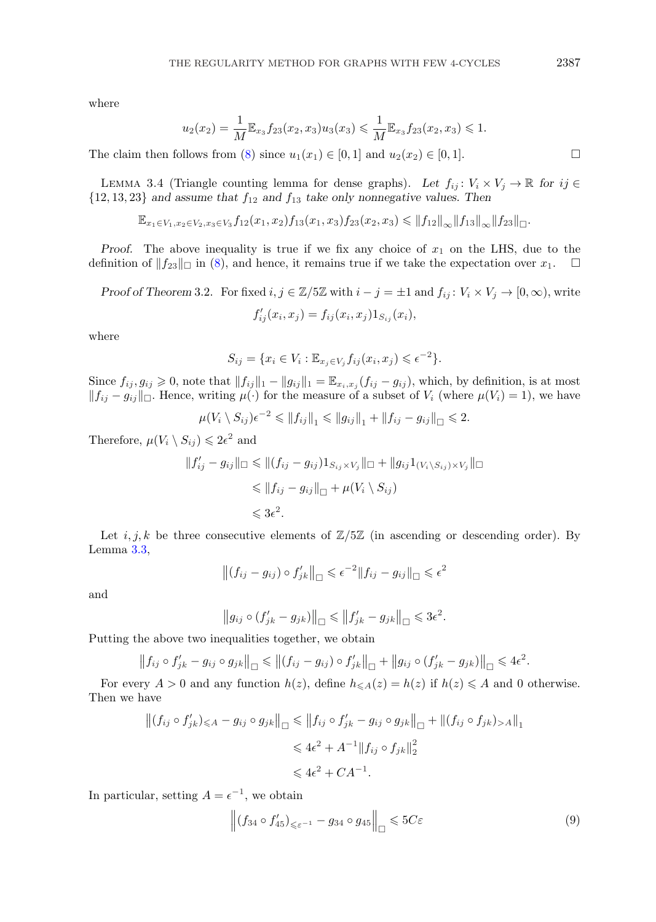<span id="page-11-0"></span>where

$$
u_2(x_2) = \frac{1}{M} \mathbb{E}_{x_3} f_{23}(x_2, x_3) u_3(x_3) \leq \frac{1}{M} \mathbb{E}_{x_3} f_{23}(x_2, x_3) \leq 1.
$$

The claim then follows from [\(8\)](#page-10-0) since  $u_1(x_1) \in [0,1]$  and  $u_2(x_2) \in [0,1]$ .

LEMMA 3.4 (Triangle counting lemma for dense graphs). Let  $f_{ij} : V_i \times V_j \to \mathbb{R}$  for  $ij \in$  ${12, 13, 23}$  *and assume that*  $f_{12}$  *and*  $f_{13}$  *take only nonnegative values. Then* 

 $\mathbb{E}_{x_1 \in V_1, x_2 \in V_2, x_3 \in V_3} f_{12}(x_1, x_2) f_{13}(x_1, x_3) f_{23}(x_2, x_3) \leq \|f_{12}\|_{\infty} \|f_{13}\|_{\infty} \|f_{23}\|_{\Box}.$ 

*Proof.* The above inequality is true if we fix any choice of  $x_1$  on the LHS, due to the definition of  $||f_{23}||$  in [\(8\)](#page-10-0), and hence, it remains true if we take the expectation over  $x_1$ .  $\Box$ 

*Proof of Theorem* 3.2. For fixed  $i, j \in \mathbb{Z}/5\mathbb{Z}$  with  $i - j = \pm 1$  and  $f_{ij} : V_i \times V_j \to [0, \infty)$ , write  $f'_{ij}(x_i, x_j) = f_{ij}(x_i, x_j) 1_{S_{ij}}(x_i),$ 

where

$$
S_{ij} = \{x_i \in V_i : \mathbb{E}_{x_j \in V_j} f_{ij}(x_i, x_j) \leqslant \epsilon^{-2}\}.
$$

Since  $f_{ij}, g_{ij} \geq 0$ , note that  $||f_{ij}||_1 - ||g_{ij}||_1 = \mathbb{E}_{x_i, x_j} (f_{ij} - g_{ij})$ , which, by definition, is at most  $||f_{ij} - g_{ij}||$  Hence, writing  $\mu(\cdot)$  for the measure of a subset of  $V_i$  (where  $\mu(V_i) = 1$ ), we have

$$
\mu(V_i \setminus S_{ij})\epsilon^{-2} \leq \|f_{ij}\|_1 \leq \|g_{ij}\|_1 + \|f_{ij} - g_{ij}\|_{\square} \leq 2.
$$

Therefore,  $\mu(V_i \setminus S_{ij}) \leq 2\epsilon^2$  and

$$
||f'_{ij} - g_{ij}||_{\square} \le ||(f_{ij} - g_{ij})1_{S_{ij} \times V_j}||_{\square} + ||g_{ij}1_{(V_i \setminus S_{ij}) \times V_j}||_{\square}
$$
  
\n
$$
\le ||f_{ij} - g_{ij}||_{\square} + \mu(V_i \setminus S_{ij})
$$
  
\n
$$
\le 3\epsilon^2.
$$

Let i, j, k be three consecutive elements of  $\mathbb{Z}/5\mathbb{Z}$  (in ascending or descending order). By Lemma [3.3,](#page-10-0)

$$
\left\| (f_{ij} - g_{ij}) \circ f'_{jk} \right\|_{\Box} \leqslant \epsilon^{-2} \| f_{ij} - g_{ij} \|_{\Box} \leqslant \epsilon^2
$$

and

$$
\left\|g_{ij}\circ(f'_{jk}-g_{jk})\right\|_{\square}\leqslant\left\|f'_{jk}-g_{jk}\right\|_{\square}\leqslant 3\epsilon^2.
$$

Putting the above two inequalities together, we obtain

$$
|| f_{ij} \circ f'_{jk} - g_{ij} \circ g_{jk} ||_{\square} \le || (f_{ij} - g_{ij}) \circ f'_{jk} ||_{\square} + || g_{ij} \circ (f'_{jk} - g_{jk}) ||_{\square} \le 4\epsilon^2.
$$

For every  $A > 0$  and any function  $h(z)$ , define  $h_{\leq A}(z) = h(z)$  if  $h(z) \leq A$  and 0 otherwise. Then we have

$$
||(f_{ij} \circ f'_{jk})_{\leq A} - g_{ij} \circ g_{jk}||_{\square} \leq ||f_{ij} \circ f'_{jk} - g_{ij} \circ g_{jk}||_{\square} + ||(f_{ij} \circ f_{jk})_{>A}||_{1}
$$
  

$$
\leq 4\epsilon^2 + A^{-1}||f_{ij} \circ f_{jk}||_2^2
$$
  

$$
\leq 4\epsilon^2 + CA^{-1}.
$$

In particular, setting  $A = e^{-1}$ , we obtain

$$
\left\| \left( f_{34} \circ f_{45}' \right)_{\leq \varepsilon^{-1}} - g_{34} \circ g_{45} \right\|_{\square} \leqslant 5C\varepsilon \tag{9}
$$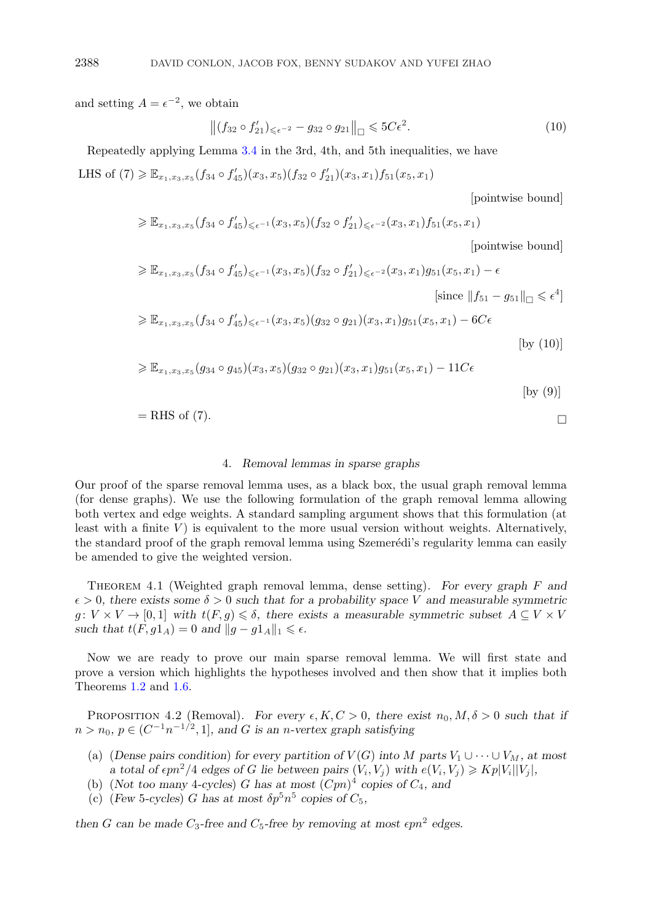and setting  $A = \epsilon^{-2}$ , we obtain

$$
\|(f_{32} \circ f'_{21})_{\leq \epsilon^{-2}} - g_{32} \circ g_{21}\|_{\Box} \leq 5C\epsilon^2. \tag{10}
$$

Repeatedly applying Lemma [3.4](#page-11-0) in the 3rd, 4th, and 5th inequalities, we have LHS of  $(7) \geq \mathbb{E}_{x_1,x_3,x_5}(f_{34} \circ f_{45}')(x_3,x_5)(f_{32} \circ f_{21}')(x_3,x_1)f_{51}(x_5,x_1)$ 

[pointwise bound]

$$
\geqslant \mathbb{E}_{x_1,x_3,x_5}(f_{34} \circ f_{45}')_{\leqslant \epsilon^{-1}}(x_3,x_5)(f_{32} \circ f_{21}')_{\leqslant \epsilon^{-2}}(x_3,x_1)f_{51}(x_5,x_1)
$$

[pointwise bound]

$$
\geq \mathbb{E}_{x_1, x_3, x_5}(f_{34} \circ f_{45}') \leq \epsilon^{-1}(x_3, x_5)(f_{32} \circ f_{21}') \leq \epsilon^{-2}(x_3, x_1)g_{51}(x_5, x_1) - \epsilon
$$
\n[since  $||f_{51} - g_{51}||_{\Box} \leq \epsilon^4$ ]  
\n
$$
\geq \mathbb{E}_{x_1, x_3, x_5}(f_{34} \circ f_{45}') \leq \epsilon^{-1}(x_3, x_5)(g_{32} \circ g_{21})(x_3, x_1)g_{51}(x_5, x_1) - 6C\epsilon
$$
\n[by (10)]  
\n
$$
\geq \mathbb{E}_{x_1, x_3, x_5}(g_{34} \circ g_{45})(x_3, x_5)(g_{32} \circ g_{21})(x_3, x_1)g_{51}(x_5, x_1) - 11C\epsilon
$$
\n[by (9)]

$$
= RHS \text{ of } (7). \square
$$

## 4. *Removal lemmas in sparse graphs*

Our proof of the sparse removal lemma uses, as a black box, the usual graph removal lemma (for dense graphs). We use the following formulation of the graph removal lemma allowing both vertex and edge weights. A standard sampling argument shows that this formulation (at least with a finite  $V$ ) is equivalent to the more usual version without weights. Alternatively, the standard proof of the graph removal lemma using Szemerédi's regularity lemma can easily be amended to give the weighted version.

Theorem 4.1 (Weighted graph removal lemma, dense setting). *For every graph* F *and*  $\epsilon > 0$ , there exists some  $\delta > 0$  such that for a probability space V and measurable symmetric  $g: V \times V \to [0,1]$  with  $t(F,g) \leq \delta$ , there exists a measurable symmetric subset  $A \subseteq V \times V$ *such that*  $t(F, g1_A) = 0$  *and*  $||g - g1_A||_1 \leq \epsilon$ .

Now we are ready to prove our main sparse removal lemma. We will first state and prove a version which highlights the hypotheses involved and then show that it implies both Theorems [1.2](#page-2-0) and [1.6.](#page-2-0)

PROPOSITION 4.2 (Removal). *For every*  $\epsilon, K, C > 0$ , there exist  $n_0, M, \delta > 0$  such that if  $n > n_0, p ∈ (C^{-1}n^{-1/2}, 1]$ *, and G is an n*-vertex graph satisfying

- (a) (*Dense pairs condition*) *for every partition of*  $V(G)$  *into* M *parts*  $V_1 \cup \cdots \cup V_M$ *, at most a* total of  $\epsilon p n^2/4$  edges of G lie between pairs  $(V_i, V_j)$  with  $e(V_i, V_j) \geqslant K p |V_i||V_j|$ ,
- (b) (*Not too many* 4*-cycles*) G has at most  $(Cpn)^4$  copies of  $C_4$ *, and*
- (c) (*Few* 5-cycles) G has at most  $\delta p^5 n^5$  copies of  $C_5$ ,

then *G* can be made  $C_3$ -free and  $C_5$ -free by removing at most  $\epsilon p n^2$  edges.

<span id="page-12-0"></span>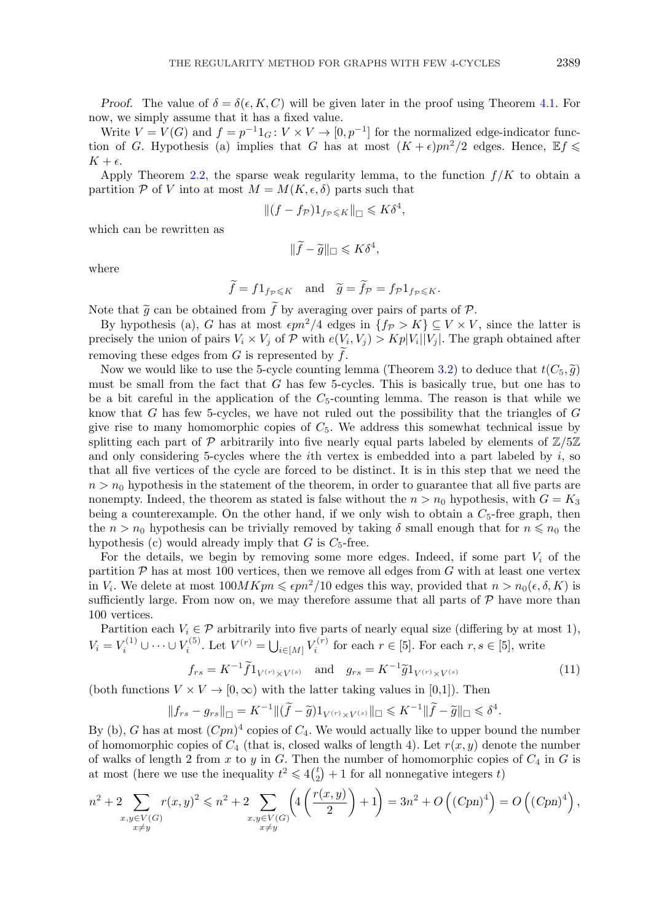<span id="page-13-0"></span>*Proof.* The value of  $\delta = \delta(\epsilon, K, C)$  will be given later in the proof using Theorem [4.1.](#page-12-0) For now, we simply assume that it has a fixed value.

Write  $V = V(G)$  and  $f = p^{-1}1_G : V \times V \to [0, p^{-1}]$  for the normalized edge-indicator function of G. Hypothesis (a) implies that G has at most  $(K + \epsilon)pn^2/2$  edges. Hence,  $\mathbb{E}f \leq$  $K + \epsilon$ .

Apply Theorem [2.2,](#page-7-0) the sparse weak regularity lemma, to the function  $f/K$  to obtain a partition  $P$  of V into at most  $M = M(K, \epsilon, \delta)$  parts such that

$$
||(f - f_{\mathcal{P}})1_{f_{\mathcal{P}} \leqslant K}||_{\square} \leqslant K\delta^4,
$$

which can be rewritten as

$$
\|\widetilde{f}-\widetilde{g}\|_{\square}\leqslant K\delta^4,
$$

where

$$
\widetilde{f} = f 1_{f_{\mathcal{P}} \leqslant K} \quad \text{and} \quad \widetilde{g} = \widetilde{f}_{\mathcal{P}} = f_{\mathcal{P}} 1_{f_{\mathcal{P}} \leqslant K}.
$$

Note that  $\widetilde{g}$  can be obtained from f by averaging over pairs of parts of P.<br>By hypothesis (a) G has at most  $\epsilon m^2/4$  edges in  $\{f_{\mathcal{D}} > K\} \subset V \times V$ 

By hypothesis (a), G has at most  $\epsilon p n^2/4$  edges in  $\{f_{\mathcal{P}} > K\} \subseteq V \times V$ , since the latter is precisely the union of pairs  $V_i \times V_j$  of P with  $e(V_i, V_j) > Kp|V_i||V_j|$ . The graph obtained after removing these edges from  $G$  is represented by  $f$ .

Now we would like to use the 5-cycle counting lemma (Theorem [3.2\)](#page-10-0) to deduce that  $t(C_5, \tilde{g})$ must be small from the fact that  $G$  has few 5-cycles. This is basically true, but one has to be a bit careful in the application of the  $C_5$ -counting lemma. The reason is that while we know that  $G$  has few 5-cycles, we have not ruled out the possibility that the triangles of  $G$ give rise to many homomorphic copies of  $C_5$ . We address this somewhat technical issue by splitting each part of  $\mathcal P$  arbitrarily into five nearly equal parts labeled by elements of  $\mathbb Z/5\mathbb Z$ and only considering 5-cycles where the *i*th vertex is embedded into a part labeled by  $i$ , so that all five vertices of the cycle are forced to be distinct. It is in this step that we need the  $n>n_0$  hypothesis in the statement of the theorem, in order to guarantee that all five parts are nonempty. Indeed, the theorem as stated is false without the  $n>n_0$  hypothesis, with  $G=K_3$ being a counterexample. On the other hand, if we only wish to obtain a  $C_5$ -free graph, then the  $n>n_0$  hypothesis can be trivially removed by taking  $\delta$  small enough that for  $n \leq n_0$  the hypothesis (c) would already imply that  $G$  is  $C_5$ -free.

For the details, we begin by removing some more edges. Indeed, if some part  $V_i$  of the partition  $P$  has at most 100 vertices, then we remove all edges from  $G$  with at least one vertex in  $V_i$ . We delete at most  $100MKpn \leq \epsilon pn^2/10$  edges this way, provided that  $n > n_0(\epsilon, \delta, K)$  is sufficiently large. From now on, we may therefore assume that all parts of  $P$  have more than 100 vertices.

Partition each  $V_i \in \mathcal{P}$  arbitrarily into five parts of nearly equal size (differing by at most 1),  $V_i = V_i^{(1)} \cup \cdots \cup V_i^{(5)}$ . Let  $V^{(r)} = \bigcup_{i \in [M]} V_i^{(r)}$  for each  $r \in [5]$ . For each  $r, s \in [5]$ , write

$$
f_{rs} = K^{-1} \tilde{f} 1_{V^{(r)} \times V^{(s)}} \quad \text{and} \quad g_{rs} = K^{-1} \tilde{g} 1_{V^{(r)} \times V^{(s)}}
$$
(11)

(both functions  $V \times V \rightarrow [0,\infty)$  with the latter taking values in [0,1]). Then

$$
||f_{rs}-g_{rs}||_{\square} = K^{-1}||(\widetilde{f}-\widetilde{g})1_{V^{(r)}\times V^{(s)}}||_{\square} \leqslant K^{-1}||\widetilde{f}-\widetilde{g}||_{\square} \leqslant \delta^4.
$$

By (b), G has at most  $(Cpn)^4$  copies of  $C_4$ . We would actually like to upper bound the number of homomorphic copies of  $C_4$  (that is, closed walks of length 4). Let  $r(x, y)$  denote the number of walks of length 2 from x to y in G. Then the number of homomorphic copies of  $C_4$  in G is at most (here we use the inequality  $t^2 \leq 4\binom{t}{2} + 1$  for all nonnegative integers t)

$$
n^{2} + 2 \sum_{\substack{x,y \in V(G) \\ x \neq y}} r(x,y)^{2} \leq n^{2} + 2 \sum_{\substack{x,y \in V(G) \\ x \neq y}} \left( 4\left(\frac{r(x,y)}{2}\right) + 1 \right) = 3n^{2} + O\left((Cpn)^{4}\right) = O\left((Cpn)^{4}\right),
$$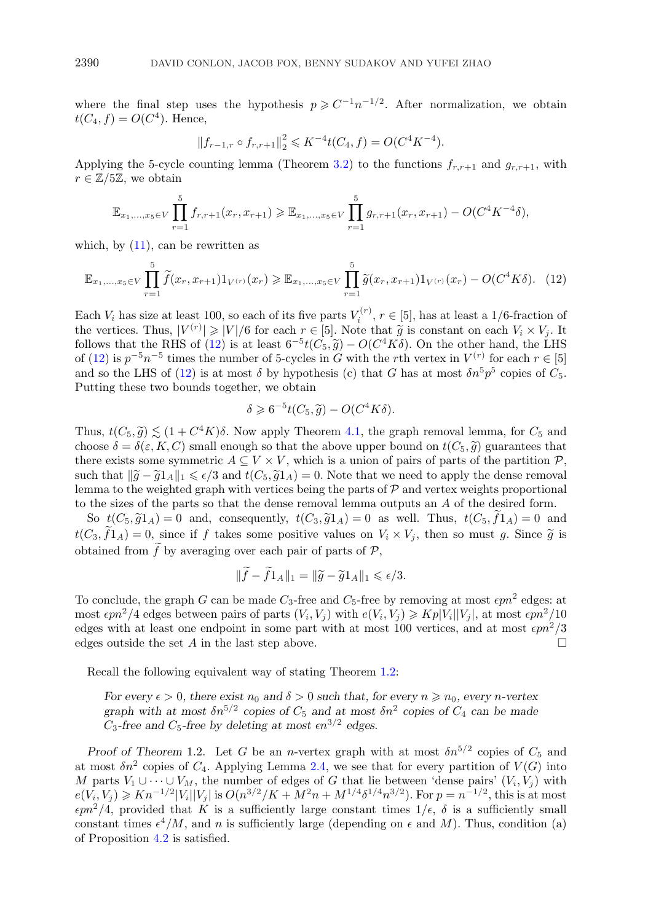where the final step uses the hypothesis  $p \geqslant C^{-1}n^{-1/2}$ . After normalization, we obtain  $t(C_4, f) = O(C^4)$ . Hence,

$$
||f_{r-1,r} \circ f_{r,r+1}||_2^2 \leqslant K^{-4}t(C_4, f) = O(C^4 K^{-4}).
$$

Applying the 5-cycle counting lemma (Theorem [3.2\)](#page-10-0) to the functions  $f_{r,r+1}$  and  $g_{r,r+1}$ , with  $r \in \mathbb{Z}/5\mathbb{Z}$ , we obtain

$$
\mathbb{E}_{x_1,\ldots,x_5\in V}\prod_{r=1}^5 f_{r,r+1}(x_r,x_{r+1}) \geq \mathbb{E}_{x_1,\ldots,x_5\in V}\prod_{r=1}^5 g_{r,r+1}(x_r,x_{r+1})-O(C^4K^{-4}\delta),
$$

which, by  $(11)$ , can be rewritten as

$$
\mathbb{E}_{x_1,\ldots,x_5 \in V} \prod_{r=1}^5 \widetilde{f}(x_r, x_{r+1}) 1_{V^{(r)}}(x_r) \ge \mathbb{E}_{x_1,\ldots,x_5 \in V} \prod_{r=1}^5 \widetilde{g}(x_r, x_{r+1}) 1_{V^{(r)}}(x_r) - O(C^4 K \delta). \tag{12}
$$

Each  $V_i$  has size at least 100, so each of its five parts  $V_i^{(r)}$ ,  $r \in [5]$ , has at least a 1/6-fraction of the vertices. Thus,  $|V^{(r)}| \geq |V|/6$  for each  $r \in [5]$ . Note that  $\tilde{g}$  is constant on each  $V_i \times V_j$ . It  $\geq |V|/6$  for each  $r \in [5]$ . Note that  $\tilde{g}$  is constant on each  $V_i \times V_j$ . It is at least  $6^{-5}t(C_i, \tilde{g}) = O(C^4K\delta)$ . On the other hand, the LHS follows that the RHS of (12) is at least  $6^{-5}t(C_5, \tilde{g}) - O(C^4K\delta)$ . On the other hand, the LHS<br>of (12) is  $n^{-5}n^{-5}$  times the number of 5-cycles in G with the rth vertex in  $V^{(r)}$  for each  $r \in [5]$ of (12) is  $p^{-5}n^{-5}$  times the number of 5-cycles in G with the rth vertex in  $V^{(r)}$  for each  $r \in [5]$ and so the LHS of (12) is at most  $\delta$  by hypothesis (c) that G has at most  $\delta n^5 p^5$  copies of  $C_5$ . Putting these two bounds together, we obtain

$$
\delta \geqslant 6^{-5}t(C_5, \widetilde{g}) - O(C^4K\delta).
$$

Thus,  $t(C_5, \tilde{q}) \leq (1 + C^4 K)\delta$ . Now apply Theorem [4.1,](#page-12-0) the graph removal lemma, for  $C_5$  and choose  $\delta = \delta(\varepsilon, K, C)$  small enough so that the above upper bound on  $t(C_5, \tilde{g})$  guarantees that there exists some symmetric  $A \subseteq V \times V$ , which is a union of pairs of parts of the partition  $P$ , such that  $\|\tilde{g} - \tilde{g}1_A\|_1 \leq \epsilon/3$  and  $t(C_5, \tilde{g}1_A) = 0$ . Note that we need to apply the dense removal<br>lemma to the weighted graph with vertices being the parts of  $\mathcal{D}$  and vertex weights proportional lemma to the weighted graph with vertices being the parts of  $P$  and vertex weights proportional to the sizes of the parts so that the dense removal lemma outputs an A of the desired form.

So  $t(C_5, \tilde{g}1_A) = 0$  and, consequently,  $t(C_3, \tilde{g}1_A) = 0$  as well. Thus,  $t(C_5, f1_A) = 0$  and<br> $\tilde{f}$ ,  $\tilde{f}$ ,  $\tilde{f}$ ,  $\tilde{f}$ ,  $\tilde{f}$ ,  $\tilde{f}$ ,  $\tilde{f}$ ,  $\tilde{f}$ ,  $\tilde{f}$ ,  $\tilde{f}$ ,  $\tilde{f}$ ,  $\tilde{f}$ ,  $\tilde{$  $t(C_3, f1_A) = 0$ , since if f takes some positive values on  $V_i \times V_j$ , then so must g. Since  $\tilde{g}$  is obtained from  $f$  by averaging over each pair of parts of  $P$ ,

$$
||f - f1_A||_1 = ||\widetilde{g} - \widetilde{g}1_A||_1 \leqslant \epsilon/3.
$$

To conclude, the graph G can be made  $C_3$ -free and  $C_5$ -free by removing at most  $\epsilon pn^2$  edges: at most  $\epsilon p n^2/4$  edges between pairs of parts  $(V_i, V_j)$  with  $e(V_i, V_j) \geqslant Kp|V_i||V_j|$ , at most  $\epsilon p n^2/10$ edges with at least one endpoint in some part with at most 100 vertices, and at most  $\epsilon p n^2/3$ edges outside the set A in the last step above.

Recall the following equivalent way of stating Theorem [1.2:](#page-2-0)

*For every*  $\epsilon > 0$ , there exist  $n_0$  and  $\delta > 0$  such that, for every  $n \ge n_0$ , every *n*-vertex *graph with at most*  $\delta n^{5/2}$  *copies of*  $C_5$  *and at most*  $\delta n^2$  *copies of*  $C_4$  *can be made*  $C_3$ -free and  $C_5$ -free by deleting at most  $\epsilon n^{3/2}$  edges.

*Proof of Theorem* 1.2. Let G be an *n*-vertex graph with at most  $\delta n^{5/2}$  copies of  $C_5$  and at most  $\delta n^2$  copies of  $C_4$ . Applying Lemma [2.4,](#page-8-0) we see that for every partition of  $V(G)$  into M parts  $V_1 \cup \cdots \cup V_M$ , the number of edges of G that lie between 'dense pairs'  $(V_i, V_j)$  with  $e(V_i, V_j) \geqslant Kn^{-1/2}|V_i||V_j|$  is  $O(n^{3/2}/K + M^2n + M^{1/4}\delta^{1/4}n^{3/2})$ . For  $p = n^{-1/2}$ , this is at most  $\epsilon p n^2/4$ , provided that K is a sufficiently large constant times  $1/\epsilon$ ,  $\delta$  is a sufficiently small constant times  $\epsilon^4/M$ , and n is sufficiently large (depending on  $\epsilon$  and M). Thus, condition (a) of Proposition [4.2](#page-12-0) is satisfied.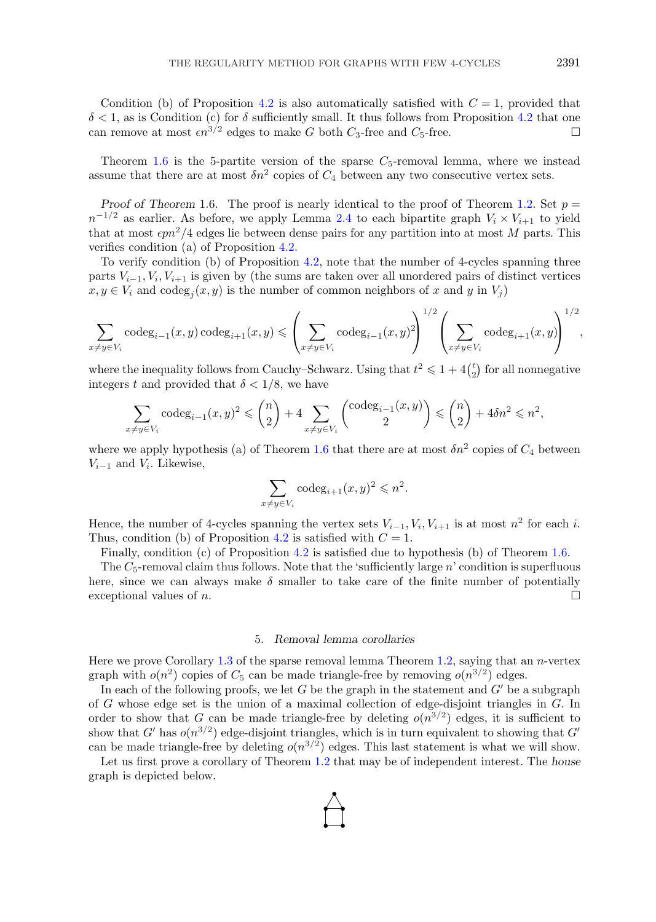<span id="page-15-0"></span>Condition (b) of Proposition [4.2](#page-12-0) is also automatically satisfied with  $C = 1$ , provided that  $\delta$  < 1, as is Condition (c) for  $\delta$  sufficiently small. It thus follows from Proposition [4.2](#page-12-0) that one can remove at most  $\epsilon n^{3/2}$  edges to make G both  $C_3$ -free and  $C_5$ -free.

Theorem [1.6](#page-2-0) is the 5-partite version of the sparse  $C_5$ -removal lemma, where we instead assume that there are at most  $\delta n^2$  copies of  $C_4$  between any two consecutive vertex sets.

*Proof of Theorem* 1.6. The proof is nearly identical to the proof of Theorem [1.2.](#page-2-0) Set  $p =$  $n^{-1/2}$  as earlier. As before, we apply Lemma [2.4](#page-8-0) to each bipartite graph  $V_i \times V_{i+1}$  to yield that at most  $\epsilon p n^2/4$  edges lie between dense pairs for any partition into at most M parts. This verifies condition (a) of Proposition [4.2.](#page-12-0)

To verify condition (b) of Proposition [4.2,](#page-12-0) note that the number of 4-cycles spanning three parts  $V_{i-1}, V_i, V_{i+1}$  is given by (the sums are taken over all unordered pairs of distinct vertices  $x, y \in V_i$  and  $\operatorname{codeg}_i(x, y)$  is the number of common neighbors of x and y in  $V_j$ )

$$
\sum_{x \neq y \in V_i} \operatorname{codeg}_{i-1}(x, y) \operatorname{codeg}_{i+1}(x, y) \le \left(\sum_{x \neq y \in V_i} \operatorname{codeg}_{i-1}(x, y)^2\right)^{1/2} \left(\sum_{x \neq y \in V_i} \operatorname{codeg}_{i+1}(x, y)\right)^{1/2},
$$

where the inequality follows from Cauchy–Schwarz. Using that  $t^2 \leqslant 1 + 4\binom{t}{2}$  for all nonnegative integers t and provided that  $\delta < 1/8$ , we have

$$
\sum_{x \neq y \in V_i} \operatorname{codeg}_{i-1}(x, y)^2 \leq {n \choose 2} + 4 \sum_{x \neq y \in V_i} {\operatorname{codeg}_{i-1}(x, y) \choose 2} \leq {n \choose 2} + 4\delta n^2 \leq n^2,
$$

where we apply hypothesis (a) of Theorem [1.6](#page-2-0) that there are at most  $\delta n^2$  copies of  $C_4$  between  $V_{i-1}$  and  $V_i$ . Likewise,

$$
\sum_{x \neq y \in V_i} \operatorname{codeg}_{i+1}(x, y)^2 \leq n^2.
$$

Hence, the number of 4-cycles spanning the vertex sets  $V_{i-1}, V_i, V_{i+1}$  is at most  $n^2$  for each i. Thus, condition (b) of Proposition [4.2](#page-12-0) is satisfied with  $C = 1$ .

Finally, condition (c) of Proposition [4.2](#page-12-0) is satisfied due to hypothesis (b) of Theorem [1.6.](#page-2-0)

The  $C_5$ -removal claim thus follows. Note that the 'sufficiently large n' condition is superfluous here, since we can always make  $\delta$  smaller to take care of the finite number of potentially exceptional values of n.

## 5. *Removal lemma corollaries*

Here we prove Corollary [1.3](#page-2-0) of the sparse removal lemma Theorem [1.2,](#page-2-0) saying that an  $n$ -vertex graph with  $o(n^2)$  copies of  $C_5$  can be made triangle-free by removing  $o(n^{3/2})$  edges.

In each of the following proofs, we let G be the graph in the statement and  $G'$  be a subgraph of G whose edge set is the union of a maximal collection of edge-disjoint triangles in G. In order to show that G can be made triangle-free by deleting  $o(n^{3/2})$  edges, it is sufficient to show that G' has  $o(n^{3/2})$  edge-disjoint triangles, which is in turn equivalent to showing that G' can be made triangle-free by deleting  $o(n^{3/2})$  edges. This last statement is what we will show.

Let us first prove a corollary of Theorem [1.2](#page-2-0) that may be of independent interest. The *house* graph is depicted below.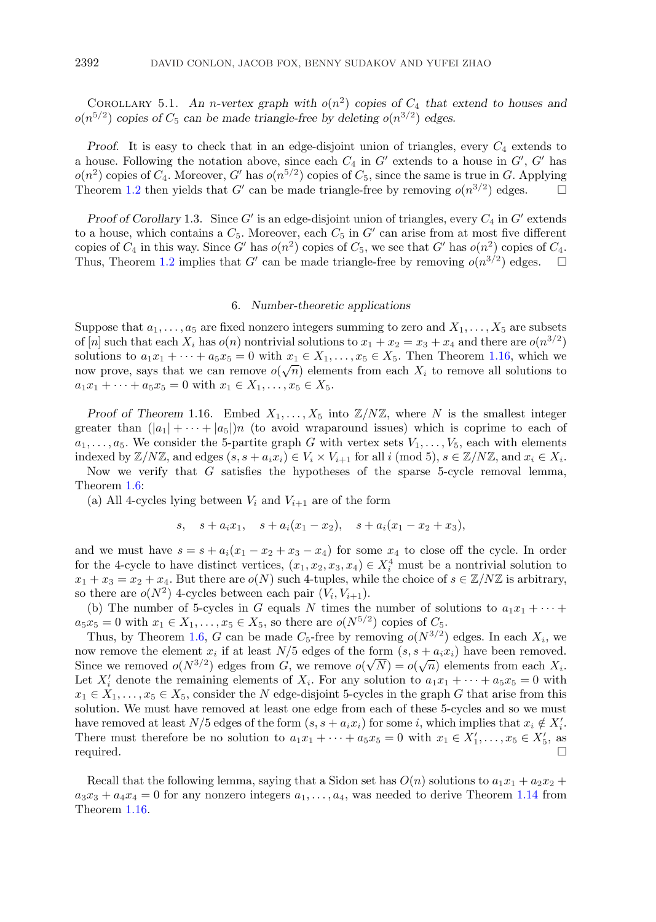<span id="page-16-0"></span>COROLLARY 5.1. An *n*-vertex graph with  $o(n^2)$  copies of  $C_4$  that extend to houses and  $o(n^{5/2})$  *copies of*  $C_5$  *can be made triangle-free by deleting*  $o(n^{3/2})$  *edges.* 

*Proof.* It is easy to check that in an edge-disjoint union of triangles, every  $C_4$  extends to a house. Following the notation above, since each  $C_4$  in  $G'$  extends to a house in  $G'$ ,  $G'$  has  $o(n^2)$  copies of  $C_4$ . Moreover, G' has  $o(n^{5/2})$  copies of  $C_5$ , since the same is true in G. Applying Theorem [1.2](#page-2-0) then yields that G' can be made triangle-free by removing  $o(n^{3/2})$  edges.  $\Box$ 

*Proof of Corollary* 1.3. Since  $G'$  is an edge-disjoint union of triangles, every  $C_4$  in  $G'$  extends to a house, which contains a  $C_5$ . Moreover, each  $C_5$  in  $G'$  can arise from at most five different copies of  $C_4$  in this way. Since G' has  $o(n^2)$  copies of  $C_5$ , we see that G' has  $o(n^2)$  copies of  $C_4$ . Thus, Theorem [1.2](#page-2-0) implies that G' can be made triangle-free by removing  $o(n^{3/2})$  edges.  $\Box$ 

#### 6. *Number-theoretic applications*

Suppose that  $a_1, \ldots, a_5$  are fixed nonzero integers summing to zero and  $X_1, \ldots, X_5$  are subsets of [n] such that each  $X_i$  has  $o(n)$  nontrivial solutions to  $x_1 + x_2 = x_3 + x_4$  and there are  $o(n^{3/2})$ solutions to  $a_1x_1 + \cdots + a_5x_5 = 0$  with  $x_1 \in X_1, \ldots, x_5 \in X_5$ . Then Theorem [1.16,](#page-6-0) which we now prove, says that we can remove  $o(\sqrt{n})$  elements from each  $X_i$  to remove all solutions to  $a_1x_1 + \cdots + a_5x_5 = 0$  with  $x_1 \in X_1, \ldots, x_5 \in X_5$ .

*Proof of Theorem* 1.16. Embed  $X_1, \ldots, X_5$  into  $\mathbb{Z}/N\mathbb{Z}$ , where N is the smallest integer greater than  $(|a_1| + \cdots + |a_5|)n$  (to avoid wraparound issues) which is coprime to each of  $a_1,\ldots,a_5$ . We consider the 5-partite graph G with vertex sets  $V_1,\ldots,V_5$ , each with elements indexed by  $\mathbb{Z}/N\mathbb{Z}$ , and edges  $(s, s + a_i x_i) \in V_i \times V_{i+1}$  for all i (mod 5),  $s \in \mathbb{Z}/N\mathbb{Z}$ , and  $x_i \in X_i$ . Now we verify that  $G$  satisfies the hypotheses of the sparse 5-cycle removal lemma,

Theorem [1.6:](#page-2-0)

(a) All 4-cycles lying between  $V_i$  and  $V_{i+1}$  are of the form

$$
s, \quad s + a_i x_1, \quad s + a_i (x_1 - x_2), \quad s + a_i (x_1 - x_2 + x_3),
$$

and we must have  $s = s + a_i(x_1 - x_2 + x_3 - x_4)$  for some  $x_4$  to close off the cycle. In order for the 4-cycle to have distinct vertices,  $(x_1, x_2, x_3, x_4) \in X_i^4$  must be a nontrivial solution to  $x_1 + x_3 = x_2 + x_4$ . But there are  $o(N)$  such 4-tuples, while the choice of  $s \in \mathbb{Z}/N\mathbb{Z}$  is arbitrary, so there are  $o(N^2)$  4-cycles between each pair  $(V_i, V_{i+1})$ .

(b) The number of 5-cycles in G equals N times the number of solutions to  $a_1x_1 + \cdots$  $a_5x_5 = 0$  with  $x_1 \in X_1, \ldots, x_5 \in X_5$ , so there are  $o(N^{5/2})$  copies of  $C_5$ .

Thus, by Theorem [1.6,](#page-2-0) G can be made  $C_5$ -free by removing  $o(N^{3/2})$  edges. In each  $X_i$ , we now remove the element  $x_i$  if at least  $N/5$  edges of the form  $(s, s + a_i x_i)$  have been removed. Since we removed  $o(N^{3/2})$  edges from G, we remove  $o(\sqrt{N}) = o(\sqrt{n})$  elements from each  $X_i$ . Let  $X'_i$  denote the remaining elements of  $X_i$ . For any solution to  $a_1x_1 + \cdots + a_5x_5 = 0$  with  $x_1 \in X_1, \ldots, x_5 \in X_5$ , consider the N edge-disjoint 5-cycles in the graph G that arise from this solution. We must have removed at least one edge from each of these 5-cycles and so we must have removed at least  $N/5$  edges of the form  $(s, s + a_i x_i)$  for some i, which implies that  $x_i \notin X'_i$ . There must therefore be no solution to  $a_1x_1 + \cdots + a_5x_5 = 0$  with  $x_1 \in X'_1, \ldots, x_5 \in X'_5$ , as required.  $\Box$ 

Recall that the following lemma, saying that a Sidon set has  $O(n)$  solutions to  $a_1x_1 + a_2x_2 +$  $a_3x_3 + a_4x_4 = 0$  for any nonzero integers  $a_1, \ldots, a_4$ , was needed to derive Theorem [1.14](#page-5-0) from Theorem [1.16.](#page-6-0)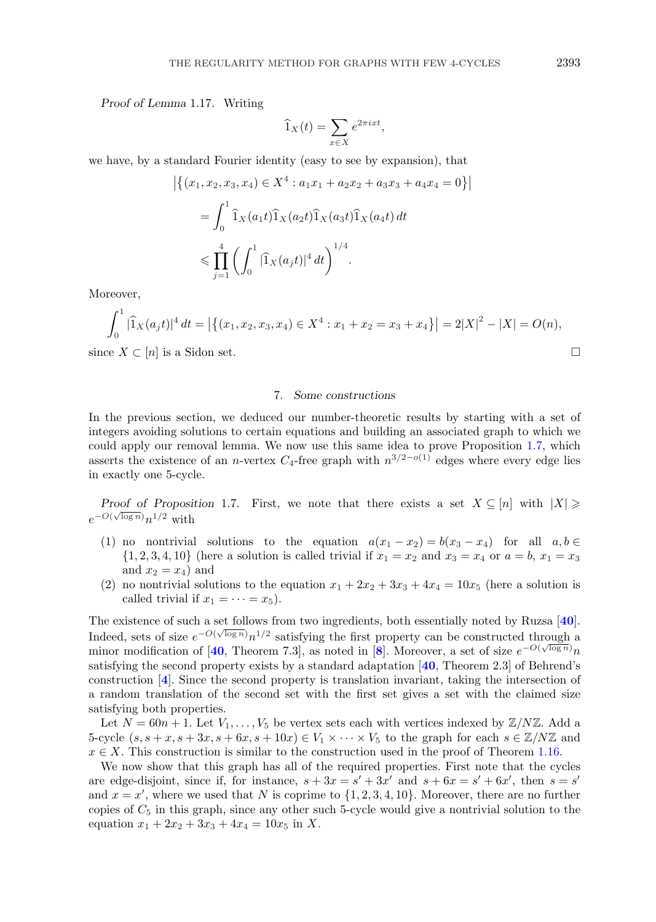<span id="page-17-0"></span>*Proof of Lemma* 1.17. Writing

$$
\widehat{1}_X(t) = \sum_{x \in X} e^{2\pi i x t},
$$

we have, by a standard Fourier identity (easy to see by expansion), that

$$
\left| \left\{ (x_1, x_2, x_3, x_4) \in X^4 : a_1 x_1 + a_2 x_2 + a_3 x_3 + a_4 x_4 = 0 \right\} \right|
$$
  
= 
$$
\int_0^1 \hat{1}_X (a_1 t) \hat{1}_X (a_2 t) \hat{1}_X (a_3 t) \hat{1}_X (a_4 t) dt
$$
  

$$
\leq \prod_{j=1}^4 \left( \int_0^1 |\hat{1}_X (a_j t)|^4 dt \right)^{1/4}.
$$

Moreover,

$$
\int_0^1 |\widehat{1}_X(a_j t)|^4 dt = |\{(x_1, x_2, x_3, x_4) \in X^4 : x_1 + x_2 = x_3 + x_4\}| = 2|X|^2 - |X| = O(n),
$$

since  $X \subset [n]$  is a Sidon set.

## 7. *Some constructions*

In the previous section, we deduced our number-theoretic results by starting with a set of integers avoiding solutions to certain equations and building an associated graph to which we could apply our removal lemma. We now use this same idea to prove Proposition [1.7,](#page-2-0) which asserts the existence of an *n*-vertex  $C_4$ -free graph with  $n^{3/2-o(1)}$  edges where every edge lies in exactly one 5-cycle.

*Proof of Proposition* 1.7. First, we note that there exists a set  $X \subseteq [n]$  with  $|X| \geq$  $e^{-O(\sqrt{\log n})}n^{1/2}$  with

- (1) no nontrivial solutions to the equation  $a(x_1 x_2) = b(x_3 x_4)$  for all  $a, b \in \mathbb{R}$  $\{1, 2, 3, 4, 10\}$  (here a solution is called trivial if  $x_1 = x_2$  and  $x_3 = x_4$  or  $a = b, x_1 = x_3$ and  $x_2 = x_4$ ) and
- (2) no nontrivial solutions to the equation  $x_1 + 2x_2 + 3x_3 + 4x_4 = 10x_5$  (here a solution is called trivial if  $x_1 = \cdots = x_5$ .

The existence of such a set follows from two ingredients, both essentially noted by Ruzsa [**[40](#page-24-0)**]. Indeed, sets of size  $e^{-O(\sqrt{\log n}}n^{1/2}$  satisfying the first property can be constructed through a minor modification of  $[40,$  $[40,$  $[40,$  Theorem 7.3], as noted in  $[8]$  $[8]$  $[8]$ . Moreover, a set of size  $e^{-O(\sqrt{\log n}})n$ satisfying the second property exists by a standard adaptation [**[40](#page-24-0)**, Theorem 2.3] of Behrend's construction [**[4](#page-23-0)**]. Since the second property is translation invariant, taking the intersection of a random translation of the second set with the first set gives a set with the claimed size satisfying both properties.

Let  $N = 60n + 1$ . Let  $V_1, \ldots, V_5$  be vertex sets each with vertices indexed by  $\mathbb{Z}/N\mathbb{Z}$ . Add a 5-cycle  $(s, s + x, s + 3x, s + 6x, s + 10x) \in V_1 \times \cdots \times V_5$  to the graph for each  $s \in \mathbb{Z}/N\mathbb{Z}$  and  $x \in X$ . This construction is similar to the construction used in the proof of Theorem [1.16.](#page-6-0)

We now show that this graph has all of the required properties. First note that the cycles are edge-disjoint, since if, for instance,  $s + 3x = s' + 3x'$  and  $s + 6x = s' + 6x'$ , then  $s = s'$ and  $x = x'$ , where we used that N is coprime to  $\{1, 2, 3, 4, 10\}$ . Moreover, there are no further copies of  $C_5$  in this graph, since any other such 5-cycle would give a nontrivial solution to the equation  $x_1 + 2x_2 + 3x_3 + 4x_4 = 10x_5$  in X.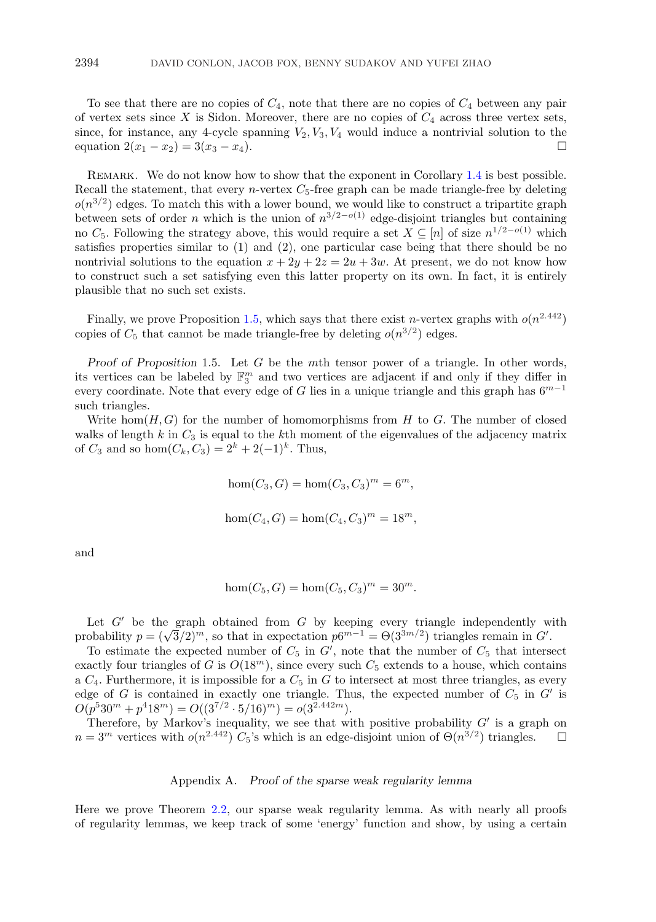<span id="page-18-0"></span>To see that there are no copies of  $C_4$ , note that there are no copies of  $C_4$  between any pair of vertex sets since X is Sidon. Moreover, there are no copies of  $C_4$  across three vertex sets, since, for instance, any 4-cycle spanning  $V_2, V_3, V_4$  would induce a nontrivial solution to the equation  $2(x_1 - x_2) = 3(x_3 - x_4)$ .

REMARK. We do not know how to show that the exponent in Corollary [1.4](#page-2-0) is best possible. Recall the statement, that every *n*-vertex  $C_5$ -free graph can be made triangle-free by deleting  $o(n^{3/2})$  edges. To match this with a lower bound, we would like to construct a tripartite graph between sets of order *n* which is the union of  $n^{3/2-o(1)}$  edge-disjoint triangles but containing no C<sub>5</sub>. Following the strategy above, this would require a set  $X \subseteq [n]$  of size  $n^{1/2-o(1)}$  which satisfies properties similar to (1) and (2), one particular case being that there should be no nontrivial solutions to the equation  $x + 2y + 2z = 2u + 3w$ . At present, we do not know how to construct such a set satisfying even this latter property on its own. In fact, it is entirely plausible that no such set exists.

Finally, we prove Proposition [1.5,](#page-2-0) which says that there exist *n*-vertex graphs with  $o(n^{2.442})$ copies of  $C_5$  that cannot be made triangle-free by deleting  $o(n^{3/2})$  edges.

*Proof of Proposition* 1.5. Let G be the mth tensor power of a triangle. In other words, its vertices can be labeled by  $\mathbb{F}_3^m$  and two vertices are adjacent if and only if they differ in every coordinate. Note that every edge of G lies in a unique triangle and this graph has  $6^{m-1}$ such triangles.

Write hom $(H, G)$  for the number of homomorphisms from H to G. The number of closed walks of length  $k$  in  $C_3$  is equal to the kth moment of the eigenvalues of the adjacency matrix of  $C_3$  and so hom $(C_k, C_3)=2^k + 2(-1)^k$ . Thus,

hom $(C_3, G) = \text{hom}(C_3, C_3)^m = 6^m,$ 

$$
hom(C_4, G) = hom(C_4, C_3)^m = 18^m
$$
,

and

$$
hom(C_5, G) = hom(C_5, C_3)^m = 30^m.
$$

Let  $G'$  be the graph obtained from  $G$  by keeping every triangle independently with Let G be the graph obtained from G by keeping every triangle independently w<br>probability  $p = (\sqrt{3}/2)^m$ , so that in expectation  $p6^{m-1} = \Theta(3^{3m/2})$  triangles remain in G'.

To estimate the expected number of  $C_5$  in  $G'$ , note that the number of  $C_5$  that intersect exactly four triangles of G is  $O(18^m)$ , since every such  $C_5$  extends to a house, which contains a  $C_4$ . Furthermore, it is impossible for a  $C_5$  in G to intersect at most three triangles, as every edge of G is contained in exactly one triangle. Thus, the expected number of  $C_5$  in  $G'$  is  $O(p^530^m + p^418^m) = O((3^{7/2} \cdot 5/16)^m) = o(3^{2.442m}).$ 

Therefore, by Markov's inequality, we see that with positive probability  $G'$  is a graph on  $n = 3^m$  vertices with  $o(n^{2.442}) C_5$ 's which is an edge-disjoint union of  $\Theta(n^{3/2})$  triangles.  $\square$ 

# Appendix A. *Proof of the sparse weak regularity lemma*

Here we prove Theorem [2.2,](#page-7-0) our sparse weak regularity lemma. As with nearly all proofs of regularity lemmas, we keep track of some 'energy' function and show, by using a certain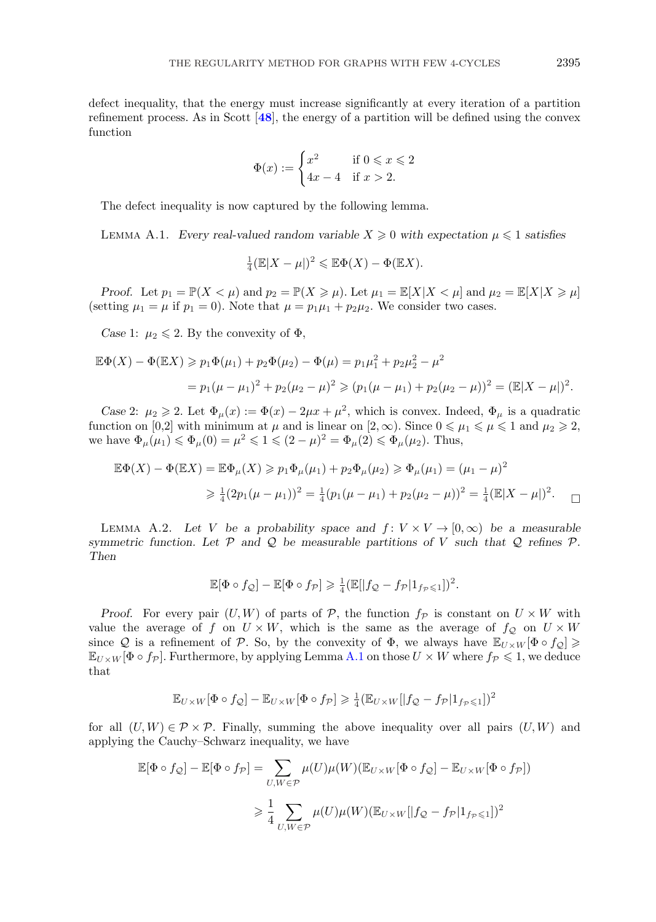<span id="page-19-0"></span>defect inequality, that the energy must increase significantly at every iteration of a partition refinement process. As in Scott [**[48](#page-24-0)**], the energy of a partition will be defined using the convex function

$$
\Phi(x) := \begin{cases} x^2 & \text{if } 0 \leqslant x \leqslant 2 \\ 4x - 4 & \text{if } x > 2. \end{cases}
$$

The defect inequality is now captured by the following lemma.

LEMMA A.1. *Every real-valued random variable*  $X \geq 0$  *with expectation*  $\mu \leq 1$  *satisfies* 

$$
\frac{1}{4}(\mathbb{E}|X-\mu|)^2 \leq \mathbb{E}\Phi(X) - \Phi(\mathbb{E}X).
$$

*Proof.* Let  $p_1 = \mathbb{P}(X < \mu)$  and  $p_2 = \mathbb{P}(X \ge \mu)$ . Let  $\mu_1 = \mathbb{E}[X | X < \mu]$  and  $\mu_2 = \mathbb{E}[X | X \ge \mu]$ (setting  $\mu_1 = \mu$  if  $p_1 = 0$ ). Note that  $\mu = p_1 \mu_1 + p_2 \mu_2$ . We consider two cases.

*Case* 1:  $\mu_2 \leq 2$ . By the convexity of  $\Phi$ ,

$$
\mathbb{E}\Phi(X) - \Phi(\mathbb{E}X) \ge p_1\Phi(\mu_1) + p_2\Phi(\mu_2) - \Phi(\mu) = p_1\mu_1^2 + p_2\mu_2^2 - \mu^2
$$
  
=  $p_1(\mu - \mu_1)^2 + p_2(\mu_2 - \mu)^2 \ge (p_1(\mu - \mu_1) + p_2(\mu_2 - \mu))^2 = (\mathbb{E}|X - \mu|)^2$ .

*Case* 2:  $\mu_2 \geqslant 2$ . Let  $\Phi_{\mu}(x) := \Phi(x) - 2\mu x + \mu^2$ , which is convex. Indeed,  $\Phi_{\mu}$  is a quadratic function on [0,2] with minimum at  $\mu$  and is linear on [2,  $\infty$ ). Since  $0 \le \mu_1 \le \mu \le 1$  and  $\mu_2 \ge 2$ , we have  $\Phi_{\mu}(\mu_1) \leq \Phi_{\mu}(0) = \mu^2 \leq 1 \leq (2 - \mu)^2 = \Phi_{\mu}(2) \leq \Phi_{\mu}(\mu_2)$ . Thus,

$$
\mathbb{E}\Phi(X) - \Phi(\mathbb{E}X) = \mathbb{E}\Phi_{\mu}(X) \ge p_1\Phi_{\mu}(\mu_1) + p_2\Phi_{\mu}(\mu_2) \ge \Phi_{\mu}(\mu_1) = (\mu_1 - \mu)^2
$$
  

$$
\ge \frac{1}{4}(2p_1(\mu - \mu_1))^2 = \frac{1}{4}(p_1(\mu - \mu_1) + p_2(\mu_2 - \mu))^2 = \frac{1}{4}(\mathbb{E}|X - \mu|)^2.
$$

LEMMA A.2. Let V be a probability space and  $f: V \times V \rightarrow [0, \infty)$  be a measurable *symmetric function. Let* P *and* Q *be measurable partitions of* V *such that* Q *refines* P*. Then*

$$
\mathbb{E}[\Phi \circ f_{\mathcal{Q}}] - \mathbb{E}[\Phi \circ f_{\mathcal{P}}] \geq \frac{1}{4} (\mathbb{E}[|f_{\mathcal{Q}} - f_{\mathcal{P}}|1_{f_{\mathcal{P}} \leq 1}])^{2}.
$$

*Proof.* For every pair  $(U, W)$  of parts of P, the function  $f_p$  is constant on  $U \times W$  with value the average of f on  $U \times W$ , which is the same as the average of  $f_{\mathcal{Q}}$  on  $U \times W$ since Q is a refinement of P. So, by the convexity of  $\Phi$ , we always have  $\mathbb{E}_{U\times W}[\Phi \circ f_{\mathcal{Q}}]\geqslant$  $\mathbb{E}_{U\times W}[\Phi \circ f_{\mathcal{P}}]$ . Furthermore, by applying Lemma A.1 on those  $U\times W$  where  $f_{\mathcal{P}}\leqslant 1$ , we deduce that

$$
\mathbb{E}_{U\times W}[\Phi \circ f_{\mathcal{Q}}] - \mathbb{E}_{U\times W}[\Phi \circ f_{\mathcal{P}}] \geq \frac{1}{4} (\mathbb{E}_{U\times W}[|f_{\mathcal{Q}} - f_{\mathcal{P}}|1_{f_{\mathcal{P}}\leq 1}))^{2}
$$

for all  $(U, W) \in \mathcal{P} \times \mathcal{P}$ . Finally, summing the above inequality over all pairs  $(U, W)$  and applying the Cauchy–Schwarz inequality, we have

$$
\mathbb{E}[\Phi \circ f_{\mathcal{Q}}] - \mathbb{E}[\Phi \circ f_{\mathcal{P}}] = \sum_{U, W \in \mathcal{P}} \mu(U)\mu(W)(\mathbb{E}_{U \times W}[\Phi \circ f_{\mathcal{Q}}] - \mathbb{E}_{U \times W}[\Phi \circ f_{\mathcal{P}}])
$$
  

$$
\geq \frac{1}{4} \sum_{U, W \in \mathcal{P}} \mu(U)\mu(W)(\mathbb{E}_{U \times W}[|f_{\mathcal{Q}} - f_{\mathcal{P}}|1_{f_{\mathcal{P}} \leq 1}))^{2}
$$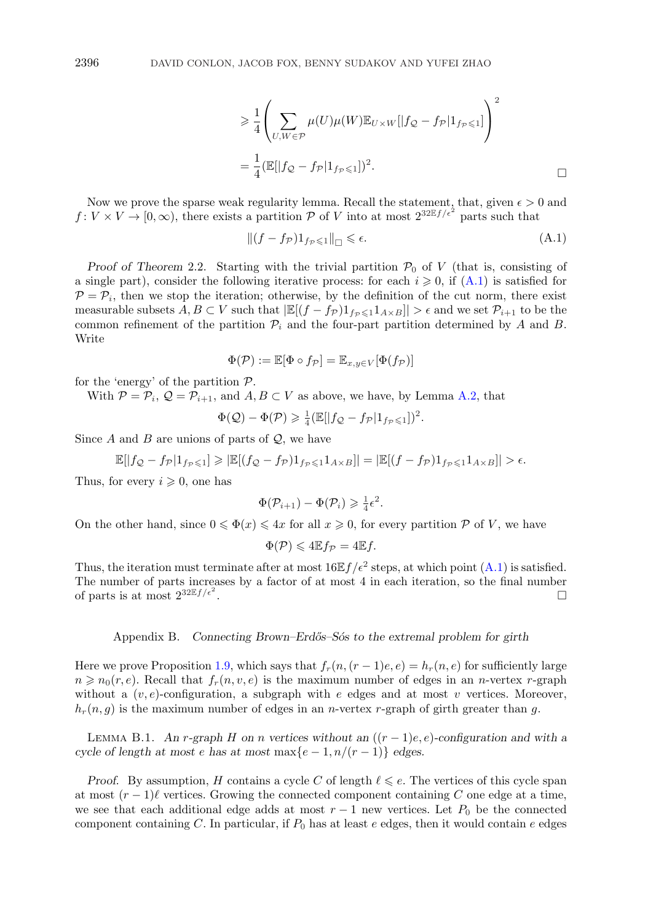$$
\geq \frac{1}{4} \left( \sum_{U,W \in \mathcal{P}} \mu(U) \mu(W) \mathbb{E}_{U \times W} [|f_{\mathcal{Q}} - f_{\mathcal{P}}| \mathbf{1}_{f_{\mathcal{P}} \leq 1}] \right)^2
$$
  
= 
$$
\frac{1}{4} (\mathbb{E}[|f_{\mathcal{Q}} - f_{\mathcal{P}}| \mathbf{1}_{f_{\mathcal{P}} \leq 1}])^2.
$$

Now we prove the sparse weak regularity lemma. Recall the statement, that, given  $\epsilon > 0$  and  $f: V \times V \to [0, \infty)$ , there exists a partition P of V into at most  $2^{32 \mathbb{E} f/\epsilon^2}$  parts such that

$$
\|(f - f_{\mathcal{P}})1_{f_{\mathcal{P}} \leq 1}\|_{\square} \leq \epsilon. \tag{A.1}
$$

*Proof of Theorem* 2.2. Starting with the trivial partition  $\mathcal{P}_0$  of V (that is, consisting of a single part), consider the following iterative process: for each  $i \geq 0$ , if  $(A.1)$  is satisfied for  $P = P_i$ , then we stop the iteration; otherwise, by the definition of the cut norm, there exist measurable subsets  $A, B \subset V$  such that  $|\mathbb{E}[(f - f_{\mathcal{P}})1_{f_{\mathcal{P}} \leq 1}1_{A \times B}]| > \epsilon$  and we set  $\mathcal{P}_{i+1}$  to be the common refinement of the partition  $\mathcal{P}_i$  and the four-part partition determined by A and B. Write

$$
\Phi(\mathcal{P}) := \mathbb{E}[\Phi \circ f_{\mathcal{P}}] = \mathbb{E}_{x,y \in V}[\Phi(f_{\mathcal{P}})]
$$

for the 'energy' of the partition  $P$ .

With  $P = P_i$ ,  $Q = P_{i+1}$ , and  $A, B \subset V$  as above, we have, by Lemma [A.2,](#page-19-0) that

$$
\Phi(Q) - \Phi(\mathcal{P}) \geq \frac{1}{4} \left( \mathbb{E} \left[ \left| f_{\mathcal{Q}} - f_{\mathcal{P}} \right| 1_{f_{\mathcal{P}} \leq 1} \right] \right)^2.
$$

Since  $A$  and  $B$  are unions of parts of  $\mathcal{Q}$ , we have

$$
\mathbb{E}[|f_{\mathcal{Q}}-f_{\mathcal{P}}|1_{f_{\mathcal{P}}\leqslant 1}]\geqslant |\mathbb{E}[(f_{\mathcal{Q}}-f_{\mathcal{P}})1_{f_{\mathcal{P}}\leqslant 1}1_{A\times B}]|=|\mathbb{E}[(f-f_{\mathcal{P}})1_{f_{\mathcal{P}}\leqslant 1}1_{A\times B}]|>\epsilon.
$$

Thus, for every  $i \geqslant 0$ , one has

$$
\Phi(\mathcal{P}_{i+1}) - \Phi(\mathcal{P}_{i}) \geq \frac{1}{4} \epsilon^{2}.
$$

On the other hand, since  $0 \le \Phi(x) \le 4x$  for all  $x \ge 0$ , for every partition  $P$  of V, we have

$$
\Phi(\mathcal{P}) \leq 4\mathbb{E}f_{\mathcal{P}} = 4\mathbb{E}f.
$$

Thus, the iteration must terminate after at most  $16E f/\epsilon^2$  steps, at which point  $(A.1)$  is satisfied. The number of parts increases by a factor of at most 4 in each iteration, so the final number of parts is at most  $2^{32\mathbb{E}f/\epsilon^2}$ . The contract of the contract of the contract of the contract of the contract of the contract of the contract of the contract of the contract of the contract of the contract of the contract of the contract of the contract

#### Appendix B. Connecting Brown–Erdős–Sós to the extremal problem for girth

Here we prove Proposition [1.9,](#page-3-0) which says that  $f_r(n,(r-1)e,e) = h_r(n,e)$  for sufficiently large  $n \geq n_0(r, e)$ . Recall that  $f_r(n, v, e)$  is the maximum number of edges in an *n*-vertex *r*-graph without a  $(v, e)$ -configuration, a subgraph with e edges and at most v vertices. Moreover,  $h_r(n, g)$  is the maximum number of edges in an *n*-vertex *r*-graph of girth greater than g.

LEMMA B.1. An r-graph H on n vertices without an  $((r-1)e, e)$ -configuration and with a *cycle of length at most e has at most* max $\{e-1, n/(r-1)\}$  *edges.* 

*Proof.* By assumption, H contains a cycle C of length  $\ell \leq e$ . The vertices of this cycle span at most  $(r-1)\ell$  vertices. Growing the connected component containing C one edge at a time, we see that each additional edge adds at most  $r-1$  new vertices. Let  $P_0$  be the connected component containing  $C$ . In particular, if  $P_0$  has at least  $e$  edges, then it would contain  $e$  edges

<span id="page-20-0"></span>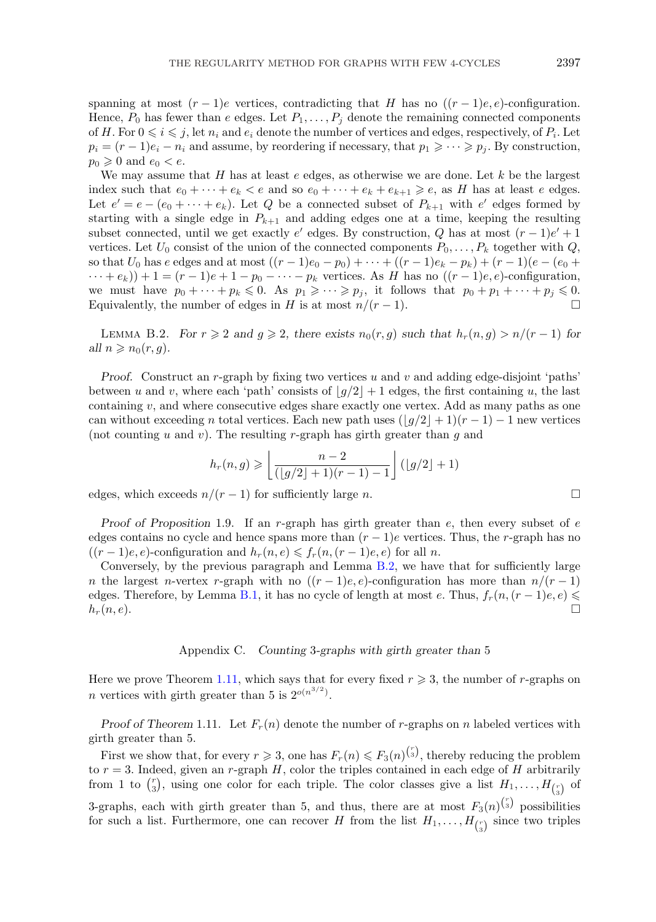spanning at most  $(r-1)e$  vertices, contradicting that H has no  $((r-1)e,e)$ -configuration. Hence,  $P_0$  has fewer than e edges. Let  $P_1,\ldots,P_j$  denote the remaining connected components of H. For  $0 \le i \le j$ , let  $n_i$  and  $e_i$  denote the number of vertices and edges, respectively, of  $P_i$ . Let  $p_i = (r-1)e_i - n_i$  and assume, by reordering if necessary, that  $p_1 \geqslant \cdots \geqslant p_j$ . By construction,  $p_0 \geqslant 0$  and  $e_0 < e$ .

We may assume that  $H$  has at least  $e$  edges, as otherwise we are done. Let  $k$  be the largest index such that  $e_0 + \cdots + e_k < e$  and so  $e_0 + \cdots + e_k + e_{k+1} \geq e$ , as H has at least e edges. Let  $e' = e - (e_0 + \cdots + e_k)$ . Let Q be a connected subset of  $P_{k+1}$  with  $e'$  edges formed by starting with a single edge in  $P_{k+1}$  and adding edges one at a time, keeping the resulting subset connected, until we get exactly e' edges. By construction, Q has at most  $(r-1)e' + 1$ vertices. Let  $U_0$  consist of the union of the connected components  $P_0, \ldots, P_k$  together with  $Q$ , so that  $U_0$  has e edges and at most  $((r-1)e_0 - p_0) + \cdots + ((r-1)e_k - p_k) + (r-1)(e - (e_0 +$  $\cdots + e_k$ ) + 1 =  $(r-1)e + 1 - p_0 - \cdots - p_k$  vertices. As H has no  $((r-1)e, e)$ -configuration, we must have  $p_0 + \cdots + p_k \leqslant 0$ . As  $p_1 \geqslant \cdots \geqslant p_j$ , it follows that  $p_0 + p_1 + \cdots + p_j \leqslant 0$ . Equivalently, the number of edges in H is at most  $n/(r-1)$ .

LEMMA B.2. *For*  $r \ge 2$  *and*  $g \ge 2$ *, there exists*  $n_0(r, g)$  *such that*  $h_r(n, g) > n/(r - 1)$  *for all*  $n \geqslant n_0(r, g)$ .

*Proof.* Construct an r-graph by fixing two vertices u and v and adding edge-disjoint 'paths' between u and v, where each 'path' consists of  $|g/2|+1$  edges, the first containing u, the last containing v, and where consecutive edges share exactly one vertex. Add as many paths as one can without exceeding n total vertices. Each new path uses  $(|g/2|+1)(r-1)-1$  new vertices (not counting u and v). The resulting r-graph has girth greater than g and

$$
h_r(n,g) \geqslant \left\lfloor \frac{n-2}{(\lfloor g/2 \rfloor + 1)(r-1) - 1} \right\rfloor (\lfloor g/2 \rfloor + 1)
$$

edges, which exceeds  $n/(r-1)$  for sufficiently large n.

*Proof of Proposition* 1.9. If an r-graph has girth greater than e, then every subset of e edges contains no cycle and hence spans more than  $(r - 1)e$  vertices. Thus, the r-graph has no  $((r-1)e, e)$ -configuration and  $h_r(n, e) \leq f_r(n,(r-1)e, e)$  for all n.

Conversely, by the previous paragraph and Lemma B.2, we have that for sufficiently large n the largest n-vertex r-graph with no  $((r-1)e,e)$ -configuration has more than  $n/(r-1)$ edges. Therefore, by Lemma [B.1,](#page-20-0) it has no cycle of length at most e. Thus,  $f_r(n,(r-1)e,e) \leq$  $h_r(n, e)$ .

#### Appendix C. *Counting* 3*-graphs with girth greater than* 5

Here we prove Theorem [1.11,](#page-4-0) which says that for every fixed  $r \geqslant 3$ , the number of r-graphs on n vertices with girth greater than 5 is  $2^{o(n^{3/2})}$ .

*Proof of Theorem* 1.11. Let  $F_r(n)$  denote the number of r-graphs on n labeled vertices with girth greater than 5.

First we show that, for every  $r \geqslant 3$ , one has  $F_r(n) \leqslant F_3(n)^{r \choose 3}$ , thereby reducing the problem to  $r = 3$ . Indeed, given an r-graph H, color the triples contained in each edge of H arbitrarily from 1 to  $\binom{r}{3}$ , using one color for each triple. The color classes give a list  $H_1, \ldots, H_{\binom{r}{3}}$  of 3-graphs, each with girth greater than 5, and thus, there are at most  $F_3(n)^{\binom{r}{3}}$  possibilities for such a list. Furthermore, one can recover H from the list  $H_1, \ldots, H_{\binom{r}{3}}$  since two triples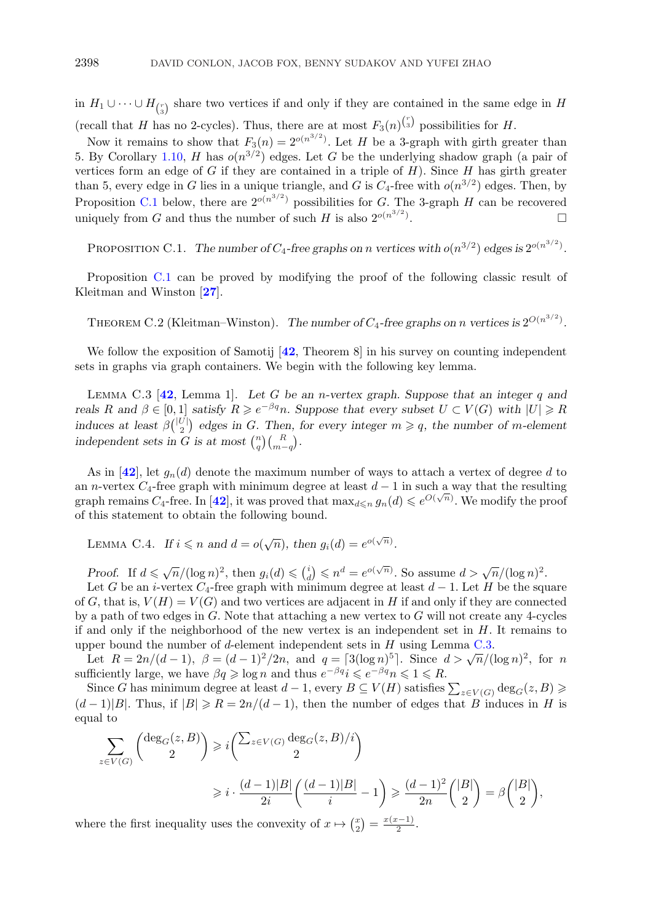<span id="page-22-0"></span>in  $H_1 \cup \cdots \cup H_{\binom{r}{3}}$  share two vertices if and only if they are contained in the same edge in H (recall that H has no 2-cycles). Thus, there are at most  $F_3(n)^{\binom{r}{3}}$  possibilities for H.

Now it remains to show that  $F_3(n)=2^{o(n^{3/2})}$ . Let H be a 3-graph with girth greater than 5. By Corollary [1.10,](#page-4-0) H has  $o(n^{3/2})$  edges. Let G be the underlying shadow graph (a pair of vertices form an edge of  $G$  if they are contained in a triple of  $H$ ). Since  $H$  has girth greater than 5, every edge in G lies in a unique triangle, and G is  $C_4$ -free with  $o(n^{3/2})$  edges. Then, by Proposition C.1 below, there are  $2^{o(n^{3/2})}$  possibilities for G. The 3-graph H can be recovered uniquely from G and thus the number of such H is also  $2^{o(n^{3/2})}$ . .

PROPOSITION C.1. *The number of*  $C_4$ -free graphs on *n* vertices with  $o(n^{3/2})$  edges is  $2^{o(n^{3/2})}$ .

Proposition C.1 can be proved by modifying the proof of the following classic result of Kleitman and Winston [**[27](#page-24-0)**].

THEOREM C.2 (Kleitman–Winston). *The number of*  $C_4$ -free graphs on n vertices is  $2^{O(n^{3/2})}$ .

We follow the exposition of Samotij [**[42](#page-24-0)**, Theorem 8] in his survey on counting independent sets in graphs via graph containers. We begin with the following key lemma.

Lemma C.3 [**[42](#page-24-0)**, Lemma 1]. *Let* G *be an* n*-vertex graph. Suppose that an integer* q *and reals* R and  $\beta \in [0,1]$  *satisfy*  $R \geq e^{-\beta q}n$ . Suppose that every subset  $U \subset V(G)$  with  $|U| \geq R$ *induces at least*  $\beta\binom{|U|}{2}$  edges in G. Then, for every integer  $m \geqslant q$ , the number of m-element *independent sets in* G *is at most*  $\binom{n}{q}\binom{R}{m-q}$ .

As in  $[42]$  $[42]$  $[42]$ , let  $g_n(d)$  denote the maximum number of ways to attach a vertex of degree d to an n-vertex  $C_4$ -free graph with minimum degree at least  $d-1$  in such a way that the resulting graph remains  $C_4$ -free. In [[42](#page-24-0)], it was proved that  $\max_{d \leq n} g_n(d) \leq e^{O(\sqrt{n})}$ . We modify the proof of this statement to obtain the following bound.

LEMMA C.4. *If*  $i \leq n$  and  $d = o(\sqrt{n})$ , then  $g_i(d) = e^{o(\sqrt{n})}$ .

*Proof.* If  $d \le \sqrt{n}/(\log n)^2$ , then  $g_i(d) \le \binom{i}{d} \le n^d = e^{o(\sqrt{n})}$ . So assume  $d > \sqrt{n}/(\log n)^2$ .

Let G be an i-vertex  $C_4$ -free graph with minimum degree at least  $d-1$ . Let H be the square of G, that is,  $V(H) = V(G)$  and two vertices are adjacent in H if and only if they are connected by a path of two edges in  $G$ . Note that attaching a new vertex to  $G$  will not create any 4-cycles if and only if the neighborhood of the new vertex is an independent set in  $H$ . It remains to upper bound the number of d-element independent sets in  $H$  using Lemma C.3.

Let  $R = 2n/(d-1)$ ,  $\beta = (d-1)^2/2n$ , and  $q = [3(\log n)^5]$ . Since  $d > \sqrt{n}/(\log n)^2$ , for n sufficiently large, we have  $\beta q \geqslant \log n$  and thus  $e^{-\beta q}i \leqslant e^{-\beta q}n \leqslant 1 \leqslant R$ .

Since G has minimum degree at least  $d-1$ , every  $B \subseteq V(H)$  satisfies  $\sum_{z \in V(G)} \deg_G(z, B) \geq$  $(d-1)|B|$ . Thus, if  $|B| \ge R = 2n/(d-1)$ , then the number of edges that B induces in H is equal to

$$
\sum_{z \in V(G)} \binom{\deg_G(z, B)}{2} \geq i \binom{\sum_{z \in V(G)} \deg_G(z, B)/i}{2}
$$
  
 
$$
\geq i \cdot \frac{(d-1)|B|}{2i} \left( \frac{(d-1)|B|}{i} - 1 \right) \geq \frac{(d-1)^2}{2n} \binom{|B|}{2} = \beta \binom{|B|}{2},
$$

where the first inequality uses the convexity of  $x \mapsto {x \choose 2} = \frac{x(x-1)}{2}$ .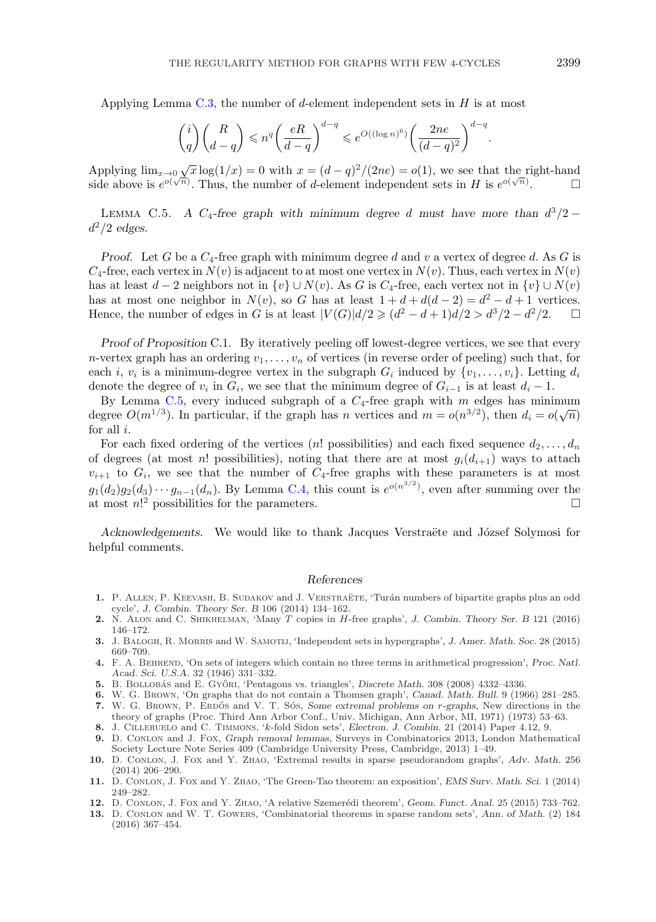<span id="page-23-0"></span>Applying Lemma [C.3,](#page-22-0) the number of d-element independent sets in  $H$  is at most

$$
\binom{i}{q}\binom{R}{d-q}\leqslant n^q\bigg(\frac{eR}{d-q}\bigg)^{d-q}\leqslant e^{O((\log n)^6)}\bigg(\frac{2ne}{(d-q)^2}\bigg)^{d-q}.
$$

Applying  $\lim_{x\to 0} \sqrt{x} \log(1/x) = 0$  with  $x = (d-q)^2/(2ne) = o(1)$ , we see that the right-hand side above is  $e^{o(\sqrt{n})}$ . Thus, the number of d-element independent sets in H is  $e^{o(\sqrt{n})}$ .

LEMMA C.5. *A* C<sub>4</sub>-free graph with minimum degree d must have more than  $d^3/2$  −  $d^2/2$  *edges.* 

*Proof.* Let G be a  $C_4$ -free graph with minimum degree d and v a vertex of degree d. As G is  $C_4$ -free, each vertex in  $N(v)$  is adjacent to at most one vertex in  $N(v)$ . Thus, each vertex in  $N(v)$ has at least  $d-2$  neighbors not in  $\{v\} \cup N(v)$ . As G is C<sub>4</sub>-free, each vertex not in  $\{v\} \cup N(v)$ has at most one neighbor in  $N(v)$ , so G has at least  $1 + d + d(d - 2) = d^2 - d + 1$  vertices. Hence, the number of edges in G is at least  $|V(G)|d/2 \geq d^2 - d + 1\frac{d}{2} > d^3/2 - d^2/2.$   $\Box$ 

*Proof of Proposition* C.1. By iteratively peeling off lowest-degree vertices, we see that every n-vertex graph has an ordering  $v_1, \ldots, v_n$  of vertices (in reverse order of peeling) such that, for each i,  $v_i$  is a minimum-degree vertex in the subgraph  $G_i$  induced by  $\{v_1,\ldots,v_i\}$ . Letting  $d_i$ denote the degree of  $v_i$  in  $G_i$ , we see that the minimum degree of  $G_{i-1}$  is at least  $d_i-1$ .

By Lemma C.5, every induced subgraph of a  $C_4$ -free graph with m edges has minimum by Lemma 0.3, every model subgraph or a  $O_4$ -nee graph with *m* edges has minimum<br>degree  $O(m^{1/3})$ . In particular, if the graph has *n* vertices and  $m = o(n^{3/2})$ , then  $d_i = o(\sqrt{n})$ for all  $i$ .

For each fixed ordering of the vertices (n! possibilities) and each fixed sequence  $d_2, \ldots, d_n$ of degrees (at most n! possibilities), noting that there are at most  $g_i(d_{i+1})$  ways to attach  $v_{i+1}$  to  $G_i$ , we see that the number of  $C_4$ -free graphs with these parameters is at most  $g_1(d_2)g_2(d_3)\cdots g_{n-1}(d_n)$ . By Lemma [C.4,](#page-22-0) this count is  $e^{o(n^{3/2})}$ , even after summing over the at most  $n!^2$  possibilities for the parameters.

Acknowledgements. We would like to thank Jacques Verstraëte and József Solymosi for helpful comments.

#### *References*

- 1. P. ALLEN, P. KEEVASH, B. SUDAKOV and J. VERSTRAETE, 'Turán numbers of bipartite graphs plus an odd cycle', *J. Combin. Theory Ser. B* 106 (2014) 134–162.
- **2.** N. Alon and C. Shikhelman, 'Many T copies in H-free graphs', *J. Combin. Theory Ser. B* 121 (2016) 146–172.
- **3.** J. Balogh, R. Morris and W. Samotij, 'Independent sets in hypergraphs', *J. Amer. Math. Soc.* 28 (2015) 669–709.
- **4.** F. A. Behrend, 'On sets of integers which contain no three terms in arithmetical progression', *Proc. Natl. Acad. Sci. U.S.A.* 32 (1946) 331–332.
- 5. B. BOLLOBÁS and E. Győni, 'Pentagons vs. triangles', *Discrete Math.* 308 (2008) 4332–4336.
- **6.** W. G. Brown, 'On graphs that do not contain a Thomsen graph', *Canad. Math. Bull.* 9 (1966) 281–285.
- **7.** W. G. BROWN, P. ERDOS and V. T. SOS, *Some extremal problems on r-graphs*, New directions in the theory of graphs (Proc. Third Ann Arbor Conf., Univ. Michigan, Ann Arbor, MI, 1971) (1973) 53–63.
- **8.** J. Cilleruelo and C. Timmons, 'k-fold Sidon sets', *Electron. J. Combin.* 21 (2014) Paper 4.12, 9.
- **9.** D. Conlon and J. Fox, *Graph removal lemmas*, Surveys in Combinatorics 2013, London Mathematical
- Society Lecture Note Series 409 (Cambridge University Press, Cambridge, 2013) 1–49. **10.** D. Conlon, J. Fox and Y. Zhao, 'Extremal results in sparse pseudorandom graphs', *Adv. Math.* 256 (2014) 206–290.
- **11.** D. Conlon, J. Fox and Y. Zhao, 'The Green-Tao theorem: an exposition', *EMS Surv. Math. Sci.* 1 (2014) 249–282.
- 12. D. CONLON, J. FOX and Y. ZHAO, 'A relative Szemerédi theorem', *Geom. Funct. Anal.* 25 (2015) 733-762.
- **13.** D. Conlon and W. T. Gowers, 'Combinatorial theorems in sparse random sets', *Ann. of Math.* (2) 184 (2016) 367–454.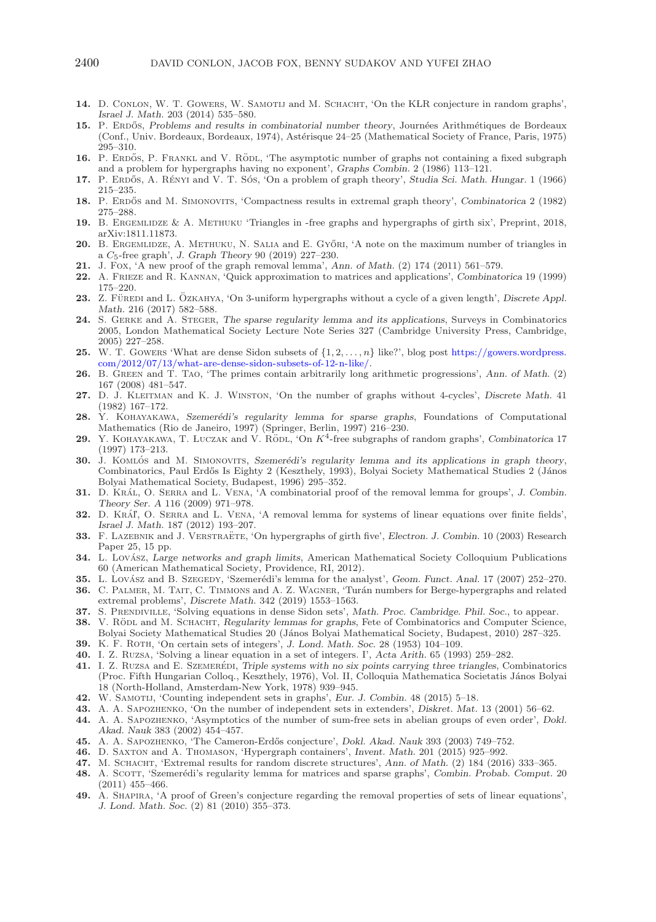- <span id="page-24-0"></span>14. D. CONLON, W. T. GOWERS, W. SAMOTIJ and M. SCHACHT, 'On the KŁR conjecture in random graphs', *Israel J. Math.* 203 (2014) 535–580.
- **15.** P. ERDOS, Problems and results in combinatorial number theory, Journées Arithmétiques de Bordeaux (Conf., Univ. Bordeaux, Bordeaux, 1974), Astérisque 24–25 (Mathematical Society of France, Paris, 1975) 295–310.
- 16. P. ERDOS, P. FRANKL and V. RODL, 'The asymptotic number of graphs not containing a fixed subgraph and a problem for hypergraphs having no exponent', *Graphs Combin.* 2 (1986) 113–121.
- 17. P. ERDŐS, A. RÉNYI and V. T. SÓS, 'On a problem of graph theory', *Studia Sci. Math. Hungar.* 1 (1966) 215–235.
- 18. P. ERDÓS and M. SIMONOVITS, 'Compactness results in extremal graph theory', *Combinatorica* 2 (1982) 275–288.
- **19.** B. Ergemlidze & A. Methuku 'Triangles in -free graphs and hypergraphs of girth six', Preprint, 2018, arXiv:1811.11873.
- **20.** B. ERGEMLIDZE, A. METHUKU, N. SALIA and E. GYŐRI, 'A note on the maximum number of triangles in a C5-free graph', *J. Graph Theory* 90 (2019) 227–230.
- **21.** J. Fox, 'A new proof of the graph removal lemma', *Ann. of Math.* (2) 174 (2011) 561–579.
- **22.** A. Frieze and R. Kannan, 'Quick approximation to matrices and applications', *Combinatorica* 19 (1999) 175–220.
- **23.** Z. FÜREDI and L. ÖZKAHYA, 'On 3-uniform hypergraphs without a cycle of a given length', Discrete Appl. *Math.* 216 (2017) 582–588.
- **24.** S. Gerke and A. Steger, *The sparse regularity lemma and its applications*, Surveys in Combinatorics 2005, London Mathematical Society Lecture Note Series 327 (Cambridge University Press, Cambridge, 2005) 227–258.
- **25.** W. T. Gowens 'What are dense Sidon subsets of  $\{1, 2, \ldots, n\}$  like?', blog post [https://gowers.wordpress.](https://gowers.wordpress.com/2012/07/13/what-are-dense-sidon-subsets-of-12-n-like/) [com/2012/07/13/what-are-dense-sidon-subsets-of-12-n-like/.](https://gowers.wordpress.com/2012/07/13/what-are-dense-sidon-subsets-of-12-n-like/)
- **26.** B. Green and T. Tao, 'The primes contain arbitrarily long arithmetic progressions', *Ann. of Math.* (2) 167 (2008) 481–547.
- **27.** D. J. Kleitman and K. J. Winston, 'On the number of graphs without 4-cycles', *Discrete Math.* 41 (1982) 167–172.
- **28.** Y. KOHAYAKAWA, *Szemerédi's regularity lemma for sparse graphs*, Foundations of Computational Mathematics (Rio de Janeiro, 1997) (Springer, Berlin, 1997) 216–230.
- **29.** Y. KOHAYAKAWA, T. LUCZAK and V. RODL, 'On  $K^4$ -free subgraphs of random graphs', *Combinatorica* 17 (1997) 173–213.
- **30.** J. KOMLÓS and M. SIMONOVITS, *Szemerédi's regularity lemma and its applications in graph theory,* Combinatorics, Paul Erdős Is Eighty 2 (Keszthely, 1993), Bolyai Society Mathematical Studies 2 (János Bolyai Mathematical Society, Budapest, 1996) 295–352.
- **31.** D. KRÁL, O. SERRA and L. VENA, 'A combinatorial proof of the removal lemma for groups', *J. Combin. Theory Ser. A* 116 (2009) 971–978.
- **32.** D. Kra´ľ, O. Serra and L. Vena, 'A removal lemma for systems of linear equations over finite fields', *Israel J. Math.* 187 (2012) 193–207.
- **33.** F. LAZEBNIK and J. VERSTRAETE, 'On hypergraphs of girth five', *Electron. J. Combin.* 10 (2003) Research Paper 25, 15 pp.
- **34.** L. Lovász, *Large networks and graph limits*, American Mathematical Society Colloquium Publications 60 (American Mathematical Society, Providence, RI, 2012).
- **35.** L. Lovász and B. Szegedy, 'Szemerédi's lemma for the analyst', *Geom. Funct. Anal.* 17 (2007) 252–270.
- **36.** C. PALMER, M. TAIT, C. TIMMONS and A. Z. WAGNER, 'Turán numbers for Berge-hypergraphs and related extremal problems', *Discrete Math.* 342 (2019) 1553–1563.
- **37.** S. Prendiville, 'Solving equations in dense Sidon sets', *Math. Proc. Cambridge. Phil. Soc.*, to appear.
- **38.** V. RÖDL and M. SCHACHT, *Regularity lemmas for graphs*, Fete of Combinatorics and Computer Science, Bolyai Society Mathematical Studies 20 (János Bolyai Mathematical Society, Budapest, 2010) 287–325.
- **39.** K. F. Roth, 'On certain sets of integers', *J. Lond. Math. Soc.* 28 (1953) 104–109.
- **40.** I. Z. Ruzsa, 'Solving a linear equation in a set of integers. I', *Acta Arith.* 65 (1993) 259–282.
- **41.** I. Z. RUZSA and E. SZEMERÉDI, Triple systems with no six points carrying three triangles, Combinatorics (Proc. Fifth Hungarian Colloq., Keszthely, 1976), Vol. II, Colloquia Mathematica Societatis J´anos Bolyai 18 (North-Holland, Amsterdam-New York, 1978) 939–945.
- **42.** W. Samotij, 'Counting independent sets in graphs', *Eur. J. Combin.* 48 (2015) 5–18.
- **43.** A. A. Sapozhenko, 'On the number of independent sets in extenders', *Diskret. Mat.* 13 (2001) 56–62.
- **44.** A. A. Sapozhenko, 'Asymptotics of the number of sum-free sets in abelian groups of even order', *Dokl. Akad. Nauk* 383 (2002) 454–457.
- **45.** A. A. Sapozhenko, 'The Cameron-Erd˝os conjecture', *Dokl. Akad. Nauk* 393 (2003) 749–752.
- **46.** D. Saxton and A. Thomason, 'Hypergraph containers', *Invent. Math.* 201 (2015) 925–992.
- **47.** M. Schacht, 'Extremal results for random discrete structures', *Ann. of Math.* (2) 184 (2016) 333–365.
- **48.** A. SCOTT, 'Szemerédi's regularity lemma for matrices and sparse graphs', *Combin. Probab. Comput.* 20 (2011) 455–466.
- **49.** A. Shapira, 'A proof of Green's conjecture regarding the removal properties of sets of linear equations', *J. Lond. Math. Soc.* (2) 81 (2010) 355–373.